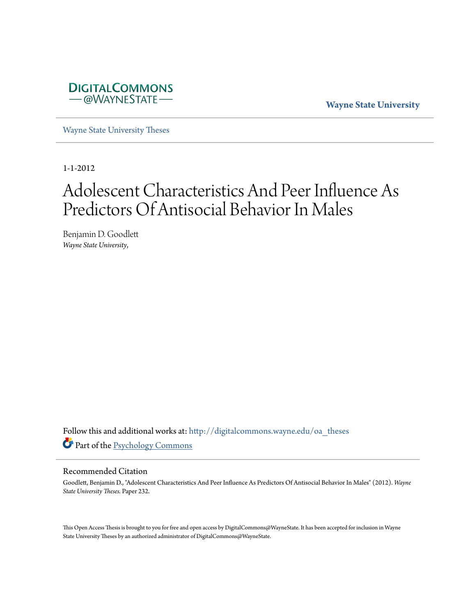

**Wayne State University**

[Wayne State University Theses](http://digitalcommons.wayne.edu/oa_theses?utm_source=digitalcommons.wayne.edu%2Foa_theses%2F232&utm_medium=PDF&utm_campaign=PDFCoverPages)

1-1-2012

# Adolescent Characteristics And Peer Influence As Predictors Of Antisocial Behavior In Males

Benjamin D. Goodlett *Wayne State University*,

Follow this and additional works at: [http://digitalcommons.wayne.edu/oa\\_theses](http://digitalcommons.wayne.edu/oa_theses?utm_source=digitalcommons.wayne.edu%2Foa_theses%2F232&utm_medium=PDF&utm_campaign=PDFCoverPages) Part of the [Psychology Commons](http://network.bepress.com/hgg/discipline/404?utm_source=digitalcommons.wayne.edu%2Foa_theses%2F232&utm_medium=PDF&utm_campaign=PDFCoverPages)

#### Recommended Citation

Goodlett, Benjamin D., "Adolescent Characteristics And Peer Influence As Predictors Of Antisocial Behavior In Males" (2012). *Wayne State University Theses.* Paper 232.

This Open Access Thesis is brought to you for free and open access by DigitalCommons@WayneState. It has been accepted for inclusion in Wayne State University Theses by an authorized administrator of DigitalCommons@WayneState.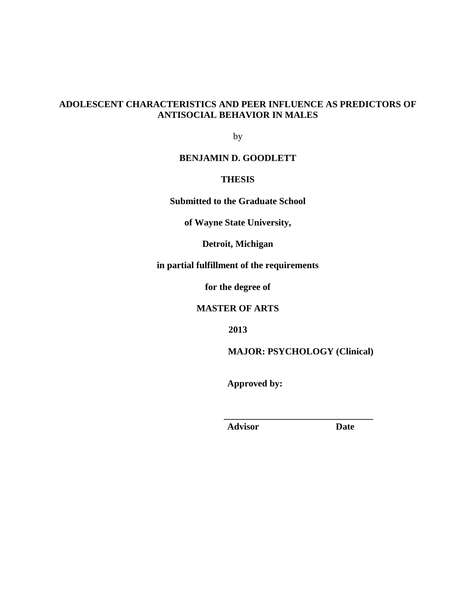# **ADOLESCENT CHARACTERISTICS AND PEER INFLUENCE AS PREDICTORS OF ANTISOCIAL BEHAVIOR IN MALES**

by

# **BENJAMIN D. GOODLETT**

# **THESIS**

**Submitted to the Graduate School**

**of Wayne State University,**

**Detroit, Michigan**

**in partial fulfillment of the requirements**

**for the degree of**

**MASTER OF ARTS**

**2013**

**MAJOR: PSYCHOLOGY (Clinical)**

**\_\_\_\_\_\_\_\_\_\_\_\_\_\_\_\_\_\_\_\_\_\_\_\_\_\_\_\_\_\_\_\_**

**Approved by:** 

**Advisor Date**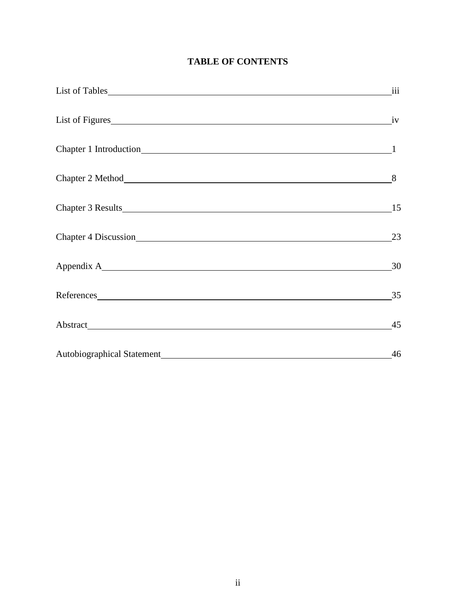# **TABLE OF CONTENTS**

|                    | <i>iii</i> |
|--------------------|------------|
|                    |            |
|                    |            |
| Chapter 2 Method 8 |            |
|                    |            |
|                    | 23         |
|                    |            |
| References 35      |            |
|                    |            |
|                    | 46         |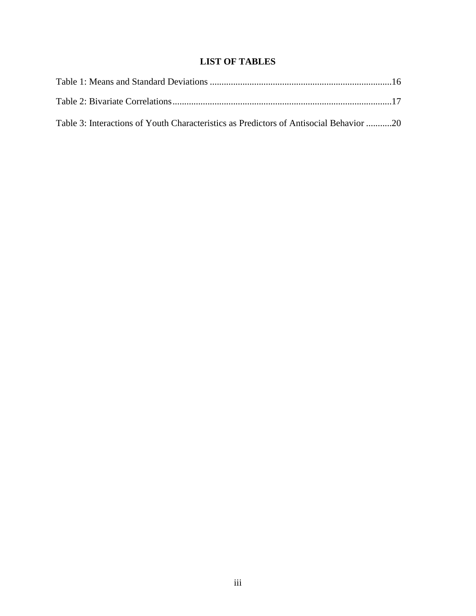# **LIST OF TABLES**

| Table 3: Interactions of Youth Characteristics as Predictors of Antisocial Behavior 20 |  |
|----------------------------------------------------------------------------------------|--|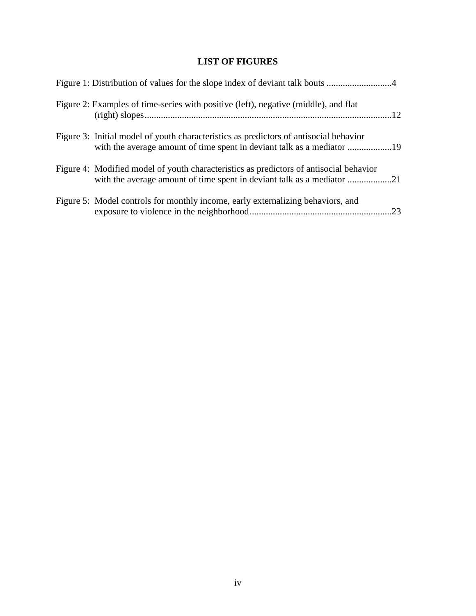# **LIST OF FIGURES**

| Figure 2: Examples of time-series with positive (left), negative (middle), and flat                                                                             |  |
|-----------------------------------------------------------------------------------------------------------------------------------------------------------------|--|
| Figure 3: Initial model of youth characteristics as predictors of antisocial behavior<br>with the average amount of time spent in deviant talk as a mediator 19 |  |
| Figure 4: Modified model of youth characteristics as predictors of antisocial behavior                                                                          |  |
| Figure 5: Model controls for monthly income, early externalizing behaviors, and                                                                                 |  |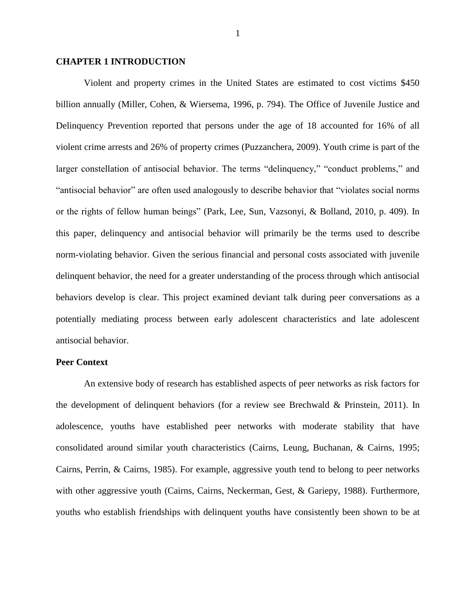#### **CHAPTER 1 INTRODUCTION**

Violent and property crimes in the United States are estimated to cost victims \$450 billion annually (Miller, Cohen, & Wiersema, 1996, p. 794). The Office of Juvenile Justice and Delinquency Prevention reported that persons under the age of 18 accounted for 16% of all violent crime arrests and 26% of property crimes (Puzzanchera, 2009). Youth crime is part of the larger constellation of antisocial behavior. The terms "delinquency," "conduct problems," and "antisocial behavior" are often used analogously to describe behavior that "violates social norms or the rights of fellow human beings" (Park, Lee, Sun, Vazsonyi, & Bolland, 2010, p. 409). In this paper, delinquency and antisocial behavior will primarily be the terms used to describe norm-violating behavior. Given the serious financial and personal costs associated with juvenile delinquent behavior, the need for a greater understanding of the process through which antisocial behaviors develop is clear. This project examined deviant talk during peer conversations as a potentially mediating process between early adolescent characteristics and late adolescent antisocial behavior.

#### **Peer Context**

An extensive body of research has established aspects of peer networks as risk factors for the development of delinquent behaviors (for a review see Brechwald & Prinstein, 2011). In adolescence, youths have established peer networks with moderate stability that have consolidated around similar youth characteristics (Cairns, Leung, Buchanan, & Cairns, 1995; Cairns, Perrin, & Cairns, 1985). For example, aggressive youth tend to belong to peer networks with other aggressive youth (Cairns, Cairns, Neckerman, Gest, & Gariepy, 1988). Furthermore, youths who establish friendships with delinquent youths have consistently been shown to be at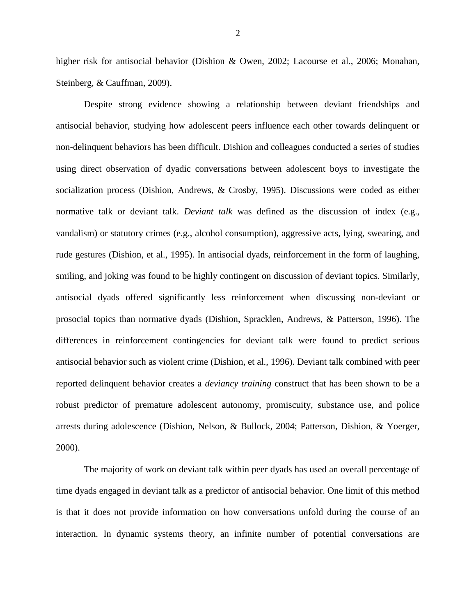higher risk for antisocial behavior (Dishion & Owen, 2002; Lacourse et al., 2006; Monahan, Steinberg, & Cauffman, 2009).

Despite strong evidence showing a relationship between deviant friendships and antisocial behavior, studying how adolescent peers influence each other towards delinquent or non-delinquent behaviors has been difficult. Dishion and colleagues conducted a series of studies using direct observation of dyadic conversations between adolescent boys to investigate the socialization process (Dishion, Andrews, & Crosby, 1995). Discussions were coded as either normative talk or deviant talk. *Deviant talk* was defined as the discussion of index (e.g., vandalism) or statutory crimes (e.g., alcohol consumption), aggressive acts, lying, swearing, and rude gestures (Dishion, et al., 1995). In antisocial dyads, reinforcement in the form of laughing, smiling, and joking was found to be highly contingent on discussion of deviant topics. Similarly, antisocial dyads offered significantly less reinforcement when discussing non-deviant or prosocial topics than normative dyads (Dishion, Spracklen, Andrews, & Patterson, 1996). The differences in reinforcement contingencies for deviant talk were found to predict serious antisocial behavior such as violent crime (Dishion, et al., 1996). Deviant talk combined with peer reported delinquent behavior creates a *deviancy training* construct that has been shown to be a robust predictor of premature adolescent autonomy, promiscuity, substance use, and police arrests during adolescence (Dishion, Nelson, & Bullock, 2004; Patterson, Dishion, & Yoerger, 2000).

The majority of work on deviant talk within peer dyads has used an overall percentage of time dyads engaged in deviant talk as a predictor of antisocial behavior. One limit of this method is that it does not provide information on how conversations unfold during the course of an interaction. In dynamic systems theory, an infinite number of potential conversations are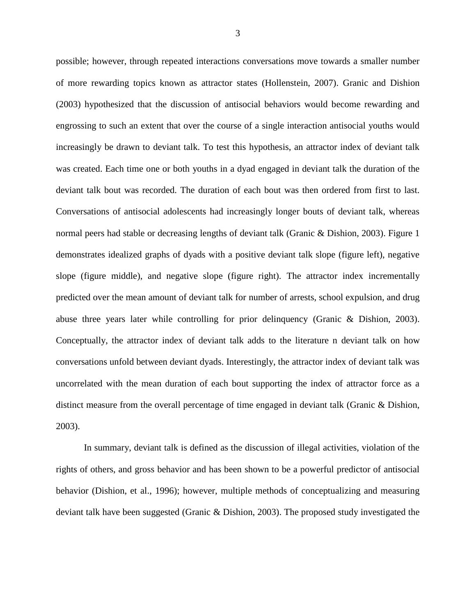possible; however, through repeated interactions conversations move towards a smaller number of more rewarding topics known as attractor states (Hollenstein, 2007). Granic and Dishion (2003) hypothesized that the discussion of antisocial behaviors would become rewarding and engrossing to such an extent that over the course of a single interaction antisocial youths would increasingly be drawn to deviant talk. To test this hypothesis, an attractor index of deviant talk was created. Each time one or both youths in a dyad engaged in deviant talk the duration of the deviant talk bout was recorded. The duration of each bout was then ordered from first to last. Conversations of antisocial adolescents had increasingly longer bouts of deviant talk, whereas normal peers had stable or decreasing lengths of deviant talk (Granic & Dishion, 2003). Figure 1 demonstrates idealized graphs of dyads with a positive deviant talk slope (figure left), negative slope (figure middle), and negative slope (figure right). The attractor index incrementally predicted over the mean amount of deviant talk for number of arrests, school expulsion, and drug abuse three years later while controlling for prior delinquency (Granic & Dishion, 2003). Conceptually, the attractor index of deviant talk adds to the literature n deviant talk on how conversations unfold between deviant dyads. Interestingly, the attractor index of deviant talk was uncorrelated with the mean duration of each bout supporting the index of attractor force as a distinct measure from the overall percentage of time engaged in deviant talk (Granic & Dishion, 2003).

In summary, deviant talk is defined as the discussion of illegal activities, violation of the rights of others, and gross behavior and has been shown to be a powerful predictor of antisocial behavior (Dishion, et al., 1996); however, multiple methods of conceptualizing and measuring deviant talk have been suggested (Granic & Dishion, 2003). The proposed study investigated the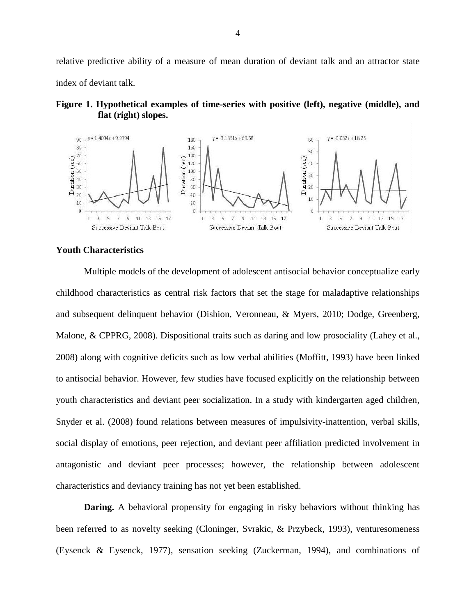relative predictive ability of a measure of mean duration of deviant talk and an attractor state index of deviant talk.





#### **Youth Characteristics**

Multiple models of the development of adolescent antisocial behavior conceptualize early childhood characteristics as central risk factors that set the stage for maladaptive relationships and subsequent delinquent behavior (Dishion, Veronneau, & Myers, 2010; Dodge, Greenberg, Malone, & CPPRG, 2008). Dispositional traits such as daring and low prosociality (Lahey et al., 2008) along with cognitive deficits such as low verbal abilities (Moffitt, 1993) have been linked to antisocial behavior. However, few studies have focused explicitly on the relationship between youth characteristics and deviant peer socialization. In a study with kindergarten aged children, Snyder et al. (2008) found relations between measures of impulsivity-inattention, verbal skills, social display of emotions, peer rejection, and deviant peer affiliation predicted involvement in antagonistic and deviant peer processes; however, the relationship between adolescent characteristics and deviancy training has not yet been established.

**Daring.** A behavioral propensity for engaging in risky behaviors without thinking has been referred to as novelty seeking (Cloninger, Svrakic, & Przybeck, 1993), venturesomeness (Eysenck & Eysenck, 1977), sensation seeking (Zuckerman, 1994), and combinations of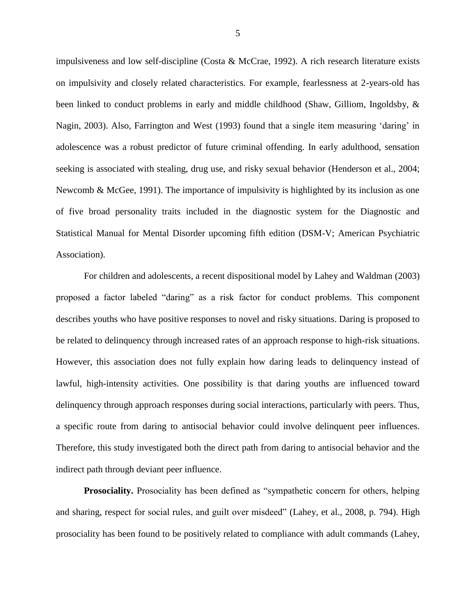impulsiveness and low self-discipline (Costa & McCrae, 1992). A rich research literature exists on impulsivity and closely related characteristics. For example, fearlessness at 2-years-old has been linked to conduct problems in early and middle childhood (Shaw, Gilliom, Ingoldsby, & Nagin, 2003). Also, Farrington and West (1993) found that a single item measuring 'daring' in adolescence was a robust predictor of future criminal offending. In early adulthood, sensation seeking is associated with stealing, drug use, and risky sexual behavior (Henderson et al., 2004; Newcomb & McGee, 1991). The importance of impulsivity is highlighted by its inclusion as one of five broad personality traits included in the diagnostic system for the Diagnostic and Statistical Manual for Mental Disorder upcoming fifth edition (DSM-V; American Psychiatric Association).

For children and adolescents, a recent dispositional model by Lahey and Waldman (2003) proposed a factor labeled "daring" as a risk factor for conduct problems. This component describes youths who have positive responses to novel and risky situations. Daring is proposed to be related to delinquency through increased rates of an approach response to high-risk situations. However, this association does not fully explain how daring leads to delinquency instead of lawful, high-intensity activities. One possibility is that daring youths are influenced toward delinquency through approach responses during social interactions, particularly with peers. Thus, a specific route from daring to antisocial behavior could involve delinquent peer influences. Therefore, this study investigated both the direct path from daring to antisocial behavior and the indirect path through deviant peer influence.

**Prosociality.** Prosociality has been defined as "sympathetic concern for others, helping and sharing, respect for social rules, and guilt over misdeed" (Lahey, et al., 2008, p. 794). High prosociality has been found to be positively related to compliance with adult commands (Lahey,

5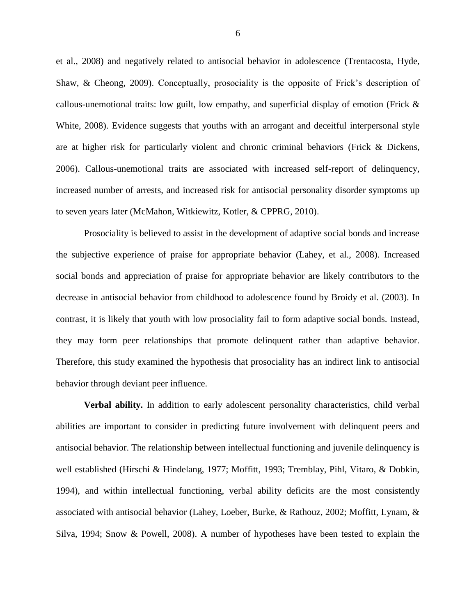et al., 2008) and negatively related to antisocial behavior in adolescence (Trentacosta, Hyde, Shaw, & Cheong, 2009). Conceptually, prosociality is the opposite of Frick's description of callous-unemotional traits: low guilt, low empathy, and superficial display of emotion (Frick  $\&$ White, 2008). Evidence suggests that youths with an arrogant and deceitful interpersonal style are at higher risk for particularly violent and chronic criminal behaviors (Frick & Dickens, 2006). Callous-unemotional traits are associated with increased self-report of delinquency, increased number of arrests, and increased risk for antisocial personality disorder symptoms up to seven years later (McMahon, Witkiewitz, Kotler, & CPPRG, 2010).

Prosociality is believed to assist in the development of adaptive social bonds and increase the subjective experience of praise for appropriate behavior (Lahey, et al., 2008). Increased social bonds and appreciation of praise for appropriate behavior are likely contributors to the decrease in antisocial behavior from childhood to adolescence found by Broidy et al. (2003). In contrast, it is likely that youth with low prosociality fail to form adaptive social bonds. Instead, they may form peer relationships that promote delinquent rather than adaptive behavior. Therefore, this study examined the hypothesis that prosociality has an indirect link to antisocial behavior through deviant peer influence.

**Verbal ability.** In addition to early adolescent personality characteristics, child verbal abilities are important to consider in predicting future involvement with delinquent peers and antisocial behavior. The relationship between intellectual functioning and juvenile delinquency is well established (Hirschi & Hindelang, 1977; Moffitt, 1993; Tremblay, Pihl, Vitaro, & Dobkin, 1994), and within intellectual functioning, verbal ability deficits are the most consistently associated with antisocial behavior (Lahey, Loeber, Burke, & Rathouz, 2002; Moffitt, Lynam, & Silva, 1994; Snow & Powell, 2008). A number of hypotheses have been tested to explain the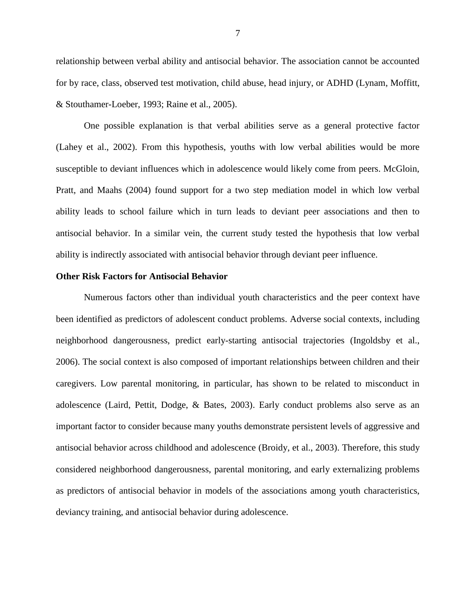relationship between verbal ability and antisocial behavior. The association cannot be accounted for by race, class, observed test motivation, child abuse, head injury, or ADHD (Lynam, Moffitt, & Stouthamer-Loeber, 1993; Raine et al., 2005).

One possible explanation is that verbal abilities serve as a general protective factor (Lahey et al., 2002). From this hypothesis, youths with low verbal abilities would be more susceptible to deviant influences which in adolescence would likely come from peers. McGloin, Pratt, and Maahs (2004) found support for a two step mediation model in which low verbal ability leads to school failure which in turn leads to deviant peer associations and then to antisocial behavior. In a similar vein, the current study tested the hypothesis that low verbal ability is indirectly associated with antisocial behavior through deviant peer influence.

#### **Other Risk Factors for Antisocial Behavior**

Numerous factors other than individual youth characteristics and the peer context have been identified as predictors of adolescent conduct problems. Adverse social contexts, including neighborhood dangerousness, predict early-starting antisocial trajectories (Ingoldsby et al., 2006). The social context is also composed of important relationships between children and their caregivers. Low parental monitoring, in particular, has shown to be related to misconduct in adolescence (Laird, Pettit, Dodge, & Bates, 2003). Early conduct problems also serve as an important factor to consider because many youths demonstrate persistent levels of aggressive and antisocial behavior across childhood and adolescence (Broidy, et al., 2003). Therefore, this study considered neighborhood dangerousness, parental monitoring, and early externalizing problems as predictors of antisocial behavior in models of the associations among youth characteristics, deviancy training, and antisocial behavior during adolescence.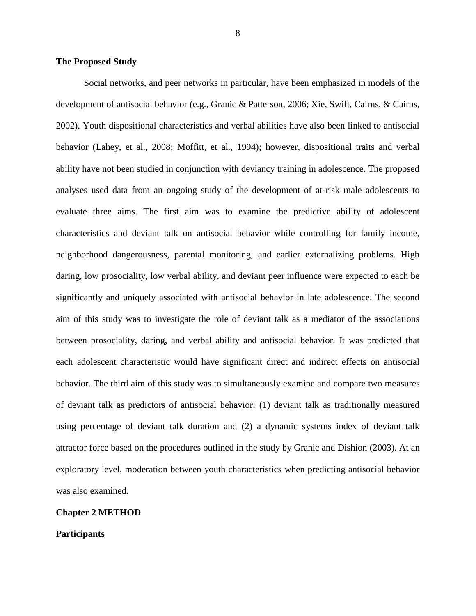#### **The Proposed Study**

Social networks, and peer networks in particular, have been emphasized in models of the development of antisocial behavior (e.g., Granic & Patterson, 2006; Xie, Swift, Cairns, & Cairns, 2002). Youth dispositional characteristics and verbal abilities have also been linked to antisocial behavior (Lahey, et al., 2008; Moffitt, et al., 1994); however, dispositional traits and verbal ability have not been studied in conjunction with deviancy training in adolescence. The proposed analyses used data from an ongoing study of the development of at-risk male adolescents to evaluate three aims. The first aim was to examine the predictive ability of adolescent characteristics and deviant talk on antisocial behavior while controlling for family income, neighborhood dangerousness, parental monitoring, and earlier externalizing problems. High daring, low prosociality, low verbal ability, and deviant peer influence were expected to each be significantly and uniquely associated with antisocial behavior in late adolescence. The second aim of this study was to investigate the role of deviant talk as a mediator of the associations between prosociality, daring, and verbal ability and antisocial behavior. It was predicted that each adolescent characteristic would have significant direct and indirect effects on antisocial behavior. The third aim of this study was to simultaneously examine and compare two measures of deviant talk as predictors of antisocial behavior: (1) deviant talk as traditionally measured using percentage of deviant talk duration and (2) a dynamic systems index of deviant talk attractor force based on the procedures outlined in the study by Granic and Dishion (2003). At an exploratory level, moderation between youth characteristics when predicting antisocial behavior was also examined.

#### **Chapter 2 METHOD**

#### **Participants**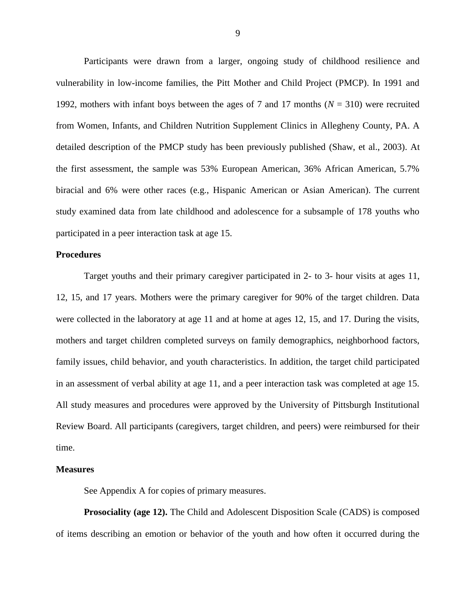Participants were drawn from a larger, ongoing study of childhood resilience and vulnerability in low-income families, the Pitt Mother and Child Project (PMCP). In 1991 and 1992, mothers with infant boys between the ages of 7 and 17 months (*N* = 310) were recruited from Women, Infants, and Children Nutrition Supplement Clinics in Allegheny County, PA. A detailed description of the PMCP study has been previously published (Shaw, et al., 2003). At the first assessment, the sample was 53% European American, 36% African American, 5.7% biracial and 6% were other races (e.g., Hispanic American or Asian American). The current study examined data from late childhood and adolescence for a subsample of 178 youths who participated in a peer interaction task at age 15.

### **Procedures**

Target youths and their primary caregiver participated in 2- to 3- hour visits at ages 11, 12, 15, and 17 years. Mothers were the primary caregiver for 90% of the target children. Data were collected in the laboratory at age 11 and at home at ages 12, 15, and 17. During the visits, mothers and target children completed surveys on family demographics, neighborhood factors, family issues, child behavior, and youth characteristics. In addition, the target child participated in an assessment of verbal ability at age 11, and a peer interaction task was completed at age 15. All study measures and procedures were approved by the University of Pittsburgh Institutional Review Board. All participants (caregivers, target children, and peers) were reimbursed for their time.

#### **Measures**

See Appendix A for copies of primary measures.

**Prosociality (age 12).** The Child and Adolescent Disposition Scale (CADS) is composed of items describing an emotion or behavior of the youth and how often it occurred during the

9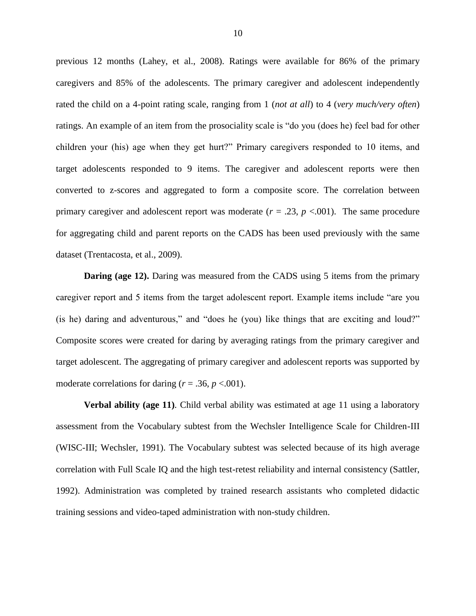previous 12 months (Lahey, et al., 2008). Ratings were available for 86% of the primary caregivers and 85% of the adolescents. The primary caregiver and adolescent independently rated the child on a 4-point rating scale, ranging from 1 (*not at all*) to 4 (*very much/very often*) ratings. An example of an item from the prosociality scale is "do you (does he) feel bad for other children your (his) age when they get hurt?" Primary caregivers responded to 10 items, and target adolescents responded to 9 items. The caregiver and adolescent reports were then converted to z-scores and aggregated to form a composite score. The correlation between primary caregiver and adolescent report was moderate  $(r = .23, p < .001)$ . The same procedure for aggregating child and parent reports on the CADS has been used previously with the same dataset (Trentacosta, et al., 2009).

**Daring (age 12).** Daring was measured from the CADS using 5 items from the primary caregiver report and 5 items from the target adolescent report. Example items include "are you (is he) daring and adventurous," and "does he (you) like things that are exciting and loud?" Composite scores were created for daring by averaging ratings from the primary caregiver and target adolescent. The aggregating of primary caregiver and adolescent reports was supported by moderate correlations for daring  $(r = .36, p < .001)$ .

**Verbal ability (age 11)***.* Child verbal ability was estimated at age 11 using a laboratory assessment from the Vocabulary subtest from the Wechsler Intelligence Scale for Children-III (WISC-III; Wechsler, 1991). The Vocabulary subtest was selected because of its high average correlation with Full Scale IQ and the high test-retest reliability and internal consistency (Sattler, 1992). Administration was completed by trained research assistants who completed didactic training sessions and video-taped administration with non-study children.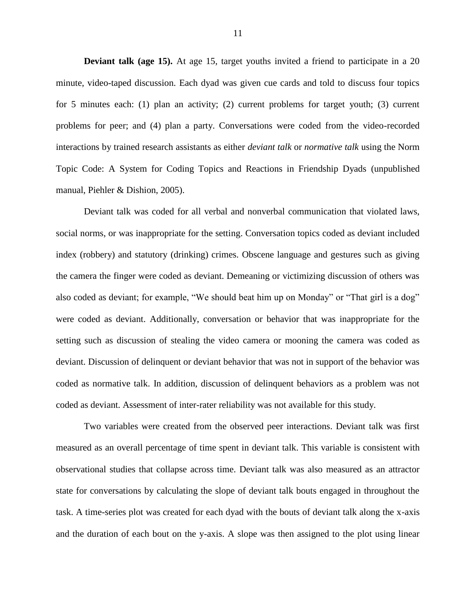**Deviant talk (age 15).** At age 15, target youths invited a friend to participate in a 20 minute, video-taped discussion. Each dyad was given cue cards and told to discuss four topics for 5 minutes each: (1) plan an activity; (2) current problems for target youth; (3) current problems for peer; and (4) plan a party. Conversations were coded from the video-recorded interactions by trained research assistants as either *deviant talk* or *normative talk* using the Norm Topic Code: A System for Coding Topics and Reactions in Friendship Dyads (unpublished manual, Piehler & Dishion, 2005).

Deviant talk was coded for all verbal and nonverbal communication that violated laws, social norms, or was inappropriate for the setting. Conversation topics coded as deviant included index (robbery) and statutory (drinking) crimes. Obscene language and gestures such as giving the camera the finger were coded as deviant. Demeaning or victimizing discussion of others was also coded as deviant; for example, "We should beat him up on Monday" or "That girl is a dog" were coded as deviant. Additionally, conversation or behavior that was inappropriate for the setting such as discussion of stealing the video camera or mooning the camera was coded as deviant. Discussion of delinquent or deviant behavior that was not in support of the behavior was coded as normative talk. In addition, discussion of delinquent behaviors as a problem was not coded as deviant. Assessment of inter-rater reliability was not available for this study.

Two variables were created from the observed peer interactions. Deviant talk was first measured as an overall percentage of time spent in deviant talk. This variable is consistent with observational studies that collapse across time. Deviant talk was also measured as an attractor state for conversations by calculating the slope of deviant talk bouts engaged in throughout the task. A time-series plot was created for each dyad with the bouts of deviant talk along the x-axis and the duration of each bout on the y-axis. A slope was then assigned to the plot using linear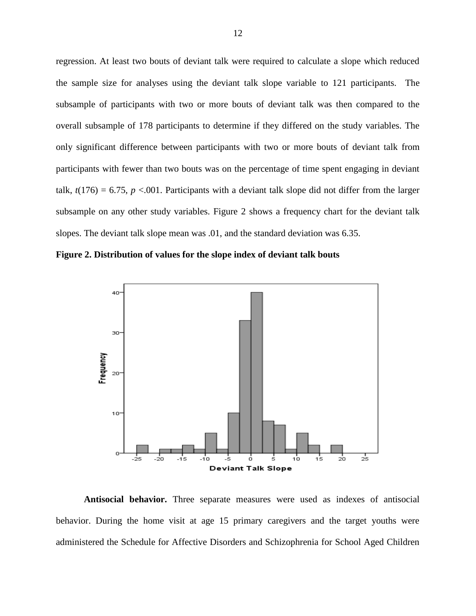regression. At least two bouts of deviant talk were required to calculate a slope which reduced the sample size for analyses using the deviant talk slope variable to 121 participants. The subsample of participants with two or more bouts of deviant talk was then compared to the overall subsample of 178 participants to determine if they differed on the study variables. The only significant difference between participants with two or more bouts of deviant talk from participants with fewer than two bouts was on the percentage of time spent engaging in deviant talk,  $t(176) = 6.75$ ,  $p < 0.001$ . Participants with a deviant talk slope did not differ from the larger subsample on any other study variables. Figure 2 shows a frequency chart for the deviant talk slopes. The deviant talk slope mean was .01, and the standard deviation was 6.35.





**Antisocial behavior.** Three separate measures were used as indexes of antisocial behavior. During the home visit at age 15 primary caregivers and the target youths were administered the Schedule for Affective Disorders and Schizophrenia for School Aged Children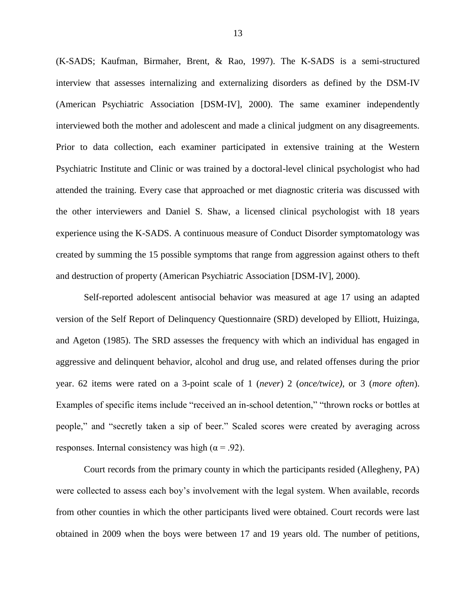(K-SADS; Kaufman, Birmaher, Brent, & Rao, 1997). The K-SADS is a semi-structured interview that assesses internalizing and externalizing disorders as defined by the DSM-IV (American Psychiatric Association [DSM-IV], 2000). The same examiner independently interviewed both the mother and adolescent and made a clinical judgment on any disagreements. Prior to data collection, each examiner participated in extensive training at the Western Psychiatric Institute and Clinic or was trained by a doctoral-level clinical psychologist who had attended the training. Every case that approached or met diagnostic criteria was discussed with the other interviewers and Daniel S. Shaw, a licensed clinical psychologist with 18 years experience using the K-SADS. A continuous measure of Conduct Disorder symptomatology was created by summing the 15 possible symptoms that range from aggression against others to theft and destruction of property (American Psychiatric Association [DSM-IV], 2000).

Self-reported adolescent antisocial behavior was measured at age 17 using an adapted version of the Self Report of Delinquency Questionnaire (SRD) developed by Elliott, Huizinga, and Ageton (1985). The SRD assesses the frequency with which an individual has engaged in aggressive and delinquent behavior, alcohol and drug use, and related offenses during the prior year. 62 items were rated on a 3-point scale of 1 (*never*) 2 (*once/twice)*, or 3 (*more often*). Examples of specific items include "received an in-school detention," "thrown rocks or bottles at people," and "secretly taken a sip of beer." Scaled scores were created by averaging across responses. Internal consistency was high ( $\alpha$  = .92).

Court records from the primary county in which the participants resided (Allegheny, PA) were collected to assess each boy's involvement with the legal system. When available, records from other counties in which the other participants lived were obtained. Court records were last obtained in 2009 when the boys were between 17 and 19 years old. The number of petitions,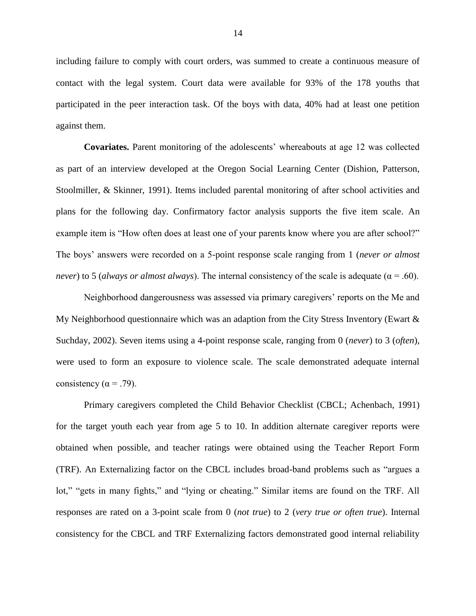including failure to comply with court orders, was summed to create a continuous measure of contact with the legal system. Court data were available for 93% of the 178 youths that participated in the peer interaction task. Of the boys with data, 40% had at least one petition against them.

**Covariates.** Parent monitoring of the adolescents' whereabouts at age 12 was collected as part of an interview developed at the Oregon Social Learning Center (Dishion, Patterson, Stoolmiller, & Skinner, 1991). Items included parental monitoring of after school activities and plans for the following day. Confirmatory factor analysis supports the five item scale. An example item is "How often does at least one of your parents know where you are after school?" The boys' answers were recorded on a 5-point response scale ranging from 1 (*never or almost never*) to 5 (*always or almost always*). The internal consistency of the scale is adequate ( $\alpha$  = .60).

Neighborhood dangerousness was assessed via primary caregivers' reports on the Me and My Neighborhood questionnaire which was an adaption from the City Stress Inventory (Ewart & Suchday, 2002). Seven items using a 4-point response scale, ranging from 0 (*never*) to 3 (*often*), were used to form an exposure to violence scale. The scale demonstrated adequate internal consistency ( $\alpha$  = .79).

Primary caregivers completed the Child Behavior Checklist (CBCL; Achenbach, 1991) for the target youth each year from age 5 to 10. In addition alternate caregiver reports were obtained when possible, and teacher ratings were obtained using the Teacher Report Form (TRF). An Externalizing factor on the CBCL includes broad-band problems such as "argues a lot," "gets in many fights," and "lying or cheating." Similar items are found on the TRF. All responses are rated on a 3-point scale from 0 (*not true*) to 2 (*very true or often true*). Internal consistency for the CBCL and TRF Externalizing factors demonstrated good internal reliability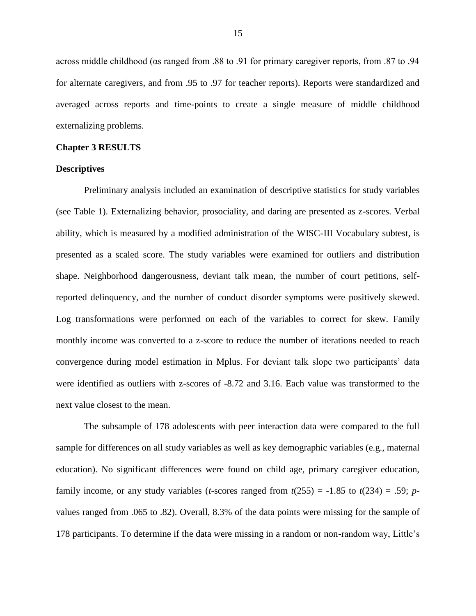across middle childhood (αs ranged from .88 to .91 for primary caregiver reports, from .87 to .94 for alternate caregivers, and from .95 to .97 for teacher reports). Reports were standardized and averaged across reports and time-points to create a single measure of middle childhood externalizing problems.

#### **Chapter 3 RESULTS**

#### **Descriptives**

Preliminary analysis included an examination of descriptive statistics for study variables (see Table 1). Externalizing behavior, prosociality, and daring are presented as z-scores. Verbal ability, which is measured by a modified administration of the WISC-III Vocabulary subtest, is presented as a scaled score. The study variables were examined for outliers and distribution shape. Neighborhood dangerousness, deviant talk mean, the number of court petitions, selfreported delinquency, and the number of conduct disorder symptoms were positively skewed. Log transformations were performed on each of the variables to correct for skew. Family monthly income was converted to a z-score to reduce the number of iterations needed to reach convergence during model estimation in Mplus. For deviant talk slope two participants' data were identified as outliers with z-scores of -8.72 and 3.16. Each value was transformed to the next value closest to the mean.

The subsample of 178 adolescents with peer interaction data were compared to the full sample for differences on all study variables as well as key demographic variables (e.g., maternal education). No significant differences were found on child age, primary caregiver education, family income, or any study variables (*t*-scores ranged from  $t(255) = -1.85$  to  $t(234) = .59$ ; *p*values ranged from .065 to .82). Overall, 8.3% of the data points were missing for the sample of 178 participants. To determine if the data were missing in a random or non-random way, Little's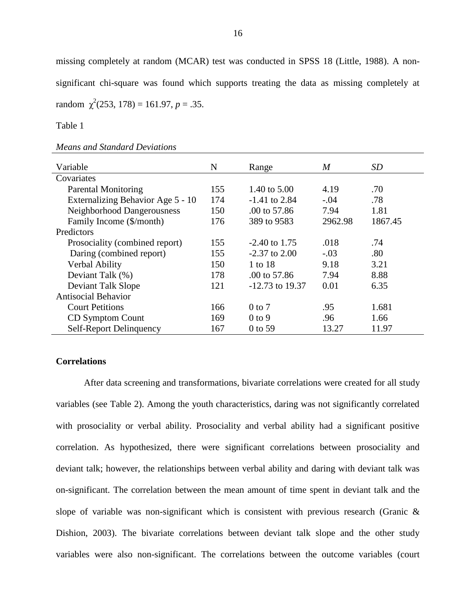missing completely at random (MCAR) test was conducted in SPSS 18 (Little, 1988). A nonsignificant chi-square was found which supports treating the data as missing completely at  $\text{random } \chi^2(253, 178) = 161.97, p = .35.$ 

Table 1

#### *Means and Standard Deviations*

| Variable                          | N   | Range                   | M       | SD.     |
|-----------------------------------|-----|-------------------------|---------|---------|
| Covariates                        |     |                         |         |         |
| <b>Parental Monitoring</b>        | 155 | 1.40 to 5.00            | 4.19    | .70     |
| Externalizing Behavior Age 5 - 10 | 174 | $-1.41$ to 2.84         | $-.04$  | .78     |
| Neighborhood Dangerousness        | 150 | $.00 \text{ to } 57.86$ | 7.94    | 1.81    |
| Family Income (\$/month)          | 176 | 389 to 9583             | 2962.98 | 1867.45 |
| Predictors                        |     |                         |         |         |
| Prosociality (combined report)    | 155 | $-2.40$ to 1.75         | .018    | .74     |
| Daring (combined report)          | 155 | $-2.37$ to 2.00         | $-.03$  | .80     |
| Verbal Ability                    | 150 | 1 to 18                 | 9.18    | 3.21    |
| Deviant Talk (%)                  | 178 | .00 to 57.86            | 7.94    | 8.88    |
| <b>Deviant Talk Slope</b>         | 121 | $-12.73$ to 19.37       | 0.01    | 6.35    |
| <b>Antisocial Behavior</b>        |     |                         |         |         |
| <b>Court Petitions</b>            | 166 | $0$ to $7$              | .95     | 1.681   |
| CD Symptom Count                  | 169 | $0$ to 9                | .96     | 1.66    |
| Self-Report Delinquency           | 167 | 0 to 59                 | 13.27   | 11.97   |

#### **Correlations**

After data screening and transformations, bivariate correlations were created for all study variables (see Table 2). Among the youth characteristics, daring was not significantly correlated with prosociality or verbal ability. Prosociality and verbal ability had a significant positive correlation. As hypothesized, there were significant correlations between prosociality and deviant talk; however, the relationships between verbal ability and daring with deviant talk was on-significant. The correlation between the mean amount of time spent in deviant talk and the slope of variable was non-significant which is consistent with previous research (Granic & Dishion, 2003). The bivariate correlations between deviant talk slope and the other study variables were also non-significant. The correlations between the outcome variables (court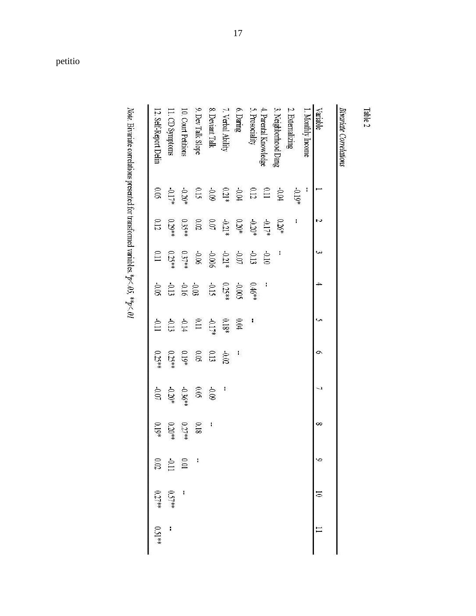| <b>Variable</b>       |                                                             | N                                                    | ىي                              | $\overline{a}$                        |                                                     | ó                       |                                 | ∞              | ç                                            |          |        |
|-----------------------|-------------------------------------------------------------|------------------------------------------------------|---------------------------------|---------------------------------------|-----------------------------------------------------|-------------------------|---------------------------------|----------------|----------------------------------------------|----------|--------|
| 1. Monthly Income     | ľ                                                           |                                                      |                                 |                                       |                                                     |                         |                                 |                |                                              |          |        |
| 2. Externalizing      | -0.19*                                                      | t                                                    |                                 |                                       |                                                     |                         |                                 |                |                                              |          |        |
| 3. Neighborhood Dang  |                                                             | $0.26*$                                              | J                               |                                       |                                                     |                         |                                 |                |                                              |          |        |
| 4. Parental Knowledge |                                                             | $-0.17*$                                             | $010-$                          |                                       |                                                     |                         |                                 |                |                                              |          |        |
| 5. Prosociality       | $\begin{array}{c} 0.04 \\ 0.11 \\ 0.12 \\ 0.04 \end{array}$ |                                                      | $-0.13$<br>$+0.21*$<br>$-0.006$ | $0.46***$                             | ł,                                                  |                         |                                 |                |                                              |          |        |
| $6.$ Daring $\,$      |                                                             | $-0.20*$                                             |                                 | $-0.005$                              | $6.04\,$                                            | $\mathbf{I}$            |                                 |                |                                              |          |        |
| 7. Verbal Ability     | $0.21*$                                                     |                                                      |                                 |                                       | $0.18*$                                             |                         | J.                              |                |                                              |          |        |
| 8. Deviant Talk       | 60'0                                                        |                                                      |                                 |                                       |                                                     |                         |                                 | $\overline{1}$ |                                              |          |        |
| 9. Dev Talk Slope     | 0.15                                                        | $\begin{array}{c} 0.21* \\ 0.07 \\ 0.07 \end{array}$ |                                 | 0.25 # 0.15<br>0.15<br>0.11 0.11 0.11 | $\begin{array}{c} 0.17 \\ 0.11 \\ 0.14 \end{array}$ | $-0.02$<br>0.05<br>0.05 | $0.09$<br>$-0.36**$<br>$-0.20*$ | 0.18           | $\mathbf{I}$                                 |          |        |
| 10. Court Petition    | $-0.20$                                                     | $0.35**$                                             | $-0.06$<br>0.37**               |                                       |                                                     |                         |                                 | $0.27**$       |                                              | I        |        |
| 11. CD Symptoms       | $-0.17$                                                     | $0.29**$                                             | $0.25**$                        |                                       |                                                     | $0.25**$                |                                 | $0.20**$       | $\begin{array}{c} 0.01 \\ -0.11 \end{array}$ | $0.57**$ |        |
| 12. Self-Report Delin | 0.05                                                        | $0.12\,$                                             | II <sub>0</sub>                 | $-0.05$                               | $110 -$                                             | $0.25**$                | $-0.07\,$                       | $0.19*$        |                                              | $0.27**$ | 0.51** |

Note. Bivariate correlations presented for transformed variables. \*p<br/> < 05. \*\*p<br/><  $61$ 

petitio

Table 2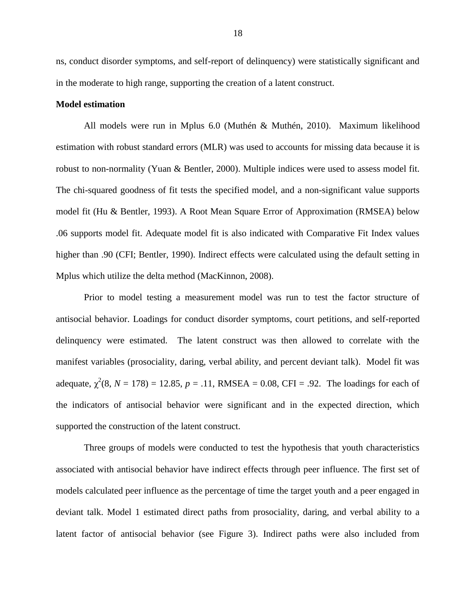ns, conduct disorder symptoms, and self-report of delinquency) were statistically significant and in the moderate to high range, supporting the creation of a latent construct.

#### **Model estimation**

All models were run in Mplus 6.0 (Muthén & Muthén, 2010). Maximum likelihood estimation with robust standard errors (MLR) was used to accounts for missing data because it is robust to non-normality (Yuan & Bentler, 2000). Multiple indices were used to assess model fit. The chi-squared goodness of fit tests the specified model, and a non-significant value supports model fit (Hu & Bentler, 1993). A Root Mean Square Error of Approximation (RMSEA) below .06 supports model fit. Adequate model fit is also indicated with Comparative Fit Index values higher than .90 (CFI; Bentler, 1990). Indirect effects were calculated using the default setting in Mplus which utilize the delta method (MacKinnon, 2008).

Prior to model testing a measurement model was run to test the factor structure of antisocial behavior. Loadings for conduct disorder symptoms, court petitions, and self-reported delinquency were estimated. The latent construct was then allowed to correlate with the manifest variables (prosociality, daring, verbal ability, and percent deviant talk). Model fit was adequate,  $\chi^2(8, N = 178) = 12.85$ ,  $p = .11$ , RMSEA = 0.08, CFI = .92. The loadings for each of the indicators of antisocial behavior were significant and in the expected direction, which supported the construction of the latent construct.

Three groups of models were conducted to test the hypothesis that youth characteristics associated with antisocial behavior have indirect effects through peer influence. The first set of models calculated peer influence as the percentage of time the target youth and a peer engaged in deviant talk. Model 1 estimated direct paths from prosociality, daring, and verbal ability to a latent factor of antisocial behavior (see Figure 3). Indirect paths were also included from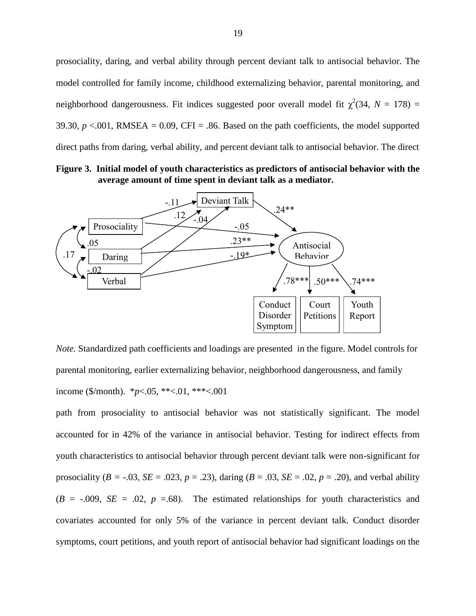prosociality, daring, and verbal ability through percent deviant talk to antisocial behavior. The model controlled for family income, childhood externalizing behavior, parental monitoring, and neighborhood dangerousness. Fit indices suggested poor overall model fit  $\chi^2(34, N = 178)$  = 39.30,  $p < 0.001$ , RMSEA = 0.09, CFI = .86. Based on the path coefficients, the model supported direct paths from daring, verbal ability, and percent deviant talk to antisocial behavior. The direct

**Figure 3. Initial model of youth characteristics as predictors of antisocial behavior with the average amount of time spent in deviant talk as a mediator.**



*Note.* Standardized path coefficients and loadings are presented in the figure. Model controls for parental monitoring, earlier externalizing behavior, neighborhood dangerousness, and family income (\$/month). \**p*<.05, \*\*<.01, \*\*\*<.001

path from prosociality to antisocial behavior was not statistically significant. The model accounted for in 42% of the variance in antisocial behavior. Testing for indirect effects from youth characteristics to antisocial behavior through percent deviant talk were non-significant for prosociality ( $B = -0.03$ ,  $SE = 0.023$ ,  $p = 0.23$ ), daring ( $B = 0.03$ ,  $SE = 0.02$ ,  $p = 0.20$ ), and verbal ability  $(B = -0.009, SE = 0.02, p = 0.68)$ . The estimated relationships for youth characteristics and covariates accounted for only 5% of the variance in percent deviant talk. Conduct disorder symptoms, court petitions, and youth report of antisocial behavior had significant loadings on the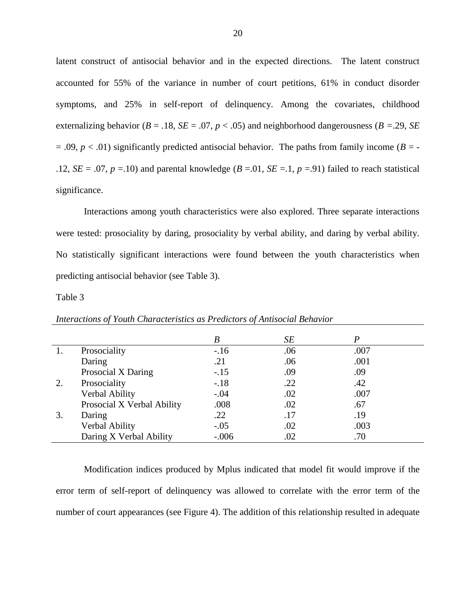latent construct of antisocial behavior and in the expected directions. The latent construct accounted for 55% of the variance in number of court petitions, 61% in conduct disorder symptoms, and 25% in self-report of delinquency. Among the covariates, childhood externalizing behavior ( $B = .18$ ,  $SE = .07$ ,  $p < .05$ ) and neighborhood dangerousness ( $B = .29$ ,  $SE$  $= .09, p < .01$ ) significantly predicted antisocial behavior. The paths from family income ( $B = -$ .12, *SE* = .07, *p* = .10) and parental knowledge (*B* = .01, *SE* = .1, *p* = .91) failed to reach statistical significance.

Interactions among youth characteristics were also explored. Three separate interactions were tested: prosociality by daring, prosociality by verbal ability, and daring by verbal ability. No statistically significant interactions were found between the youth characteristics when predicting antisocial behavior (see Table 3).

Table 3

|    |                            | B       | SE  | P    |  |
|----|----------------------------|---------|-----|------|--|
|    | Prosociality               | $-16$   | .06 | .007 |  |
|    | Daring                     | .21     | .06 | .001 |  |
|    | Prosocial X Daring         | $-.15$  | .09 | .09  |  |
| 2. | Prosociality               | $-.18$  | .22 | .42  |  |
|    | Verbal Ability             | $-.04$  | .02 | .007 |  |
|    | Prosocial X Verbal Ability | .008    | .02 | .67  |  |
| 3. | Daring                     | .22     | .17 | .19  |  |
|    | Verbal Ability             | $-.05$  | .02 | .003 |  |
|    | Daring X Verbal Ability    | $-.006$ | .02 | .70  |  |

*Interactions of Youth Characteristics as Predictors of Antisocial Behavior*

Modification indices produced by Mplus indicated that model fit would improve if the error term of self-report of delinquency was allowed to correlate with the error term of the number of court appearances (see Figure 4). The addition of this relationship resulted in adequate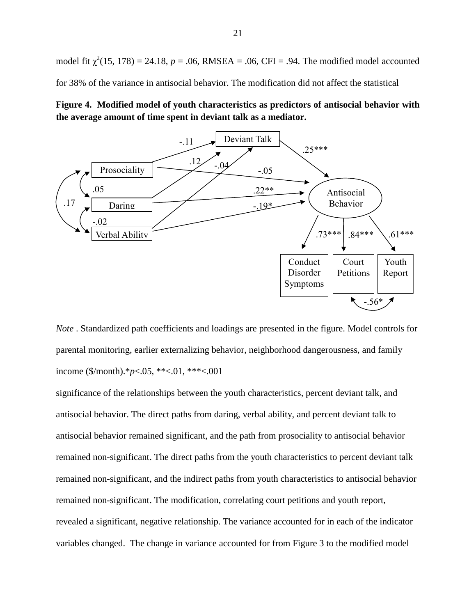model fit  $\chi^2(15, 178) = 24.18$ ,  $p = .06$ , RMSEA = .06, CFI = .94. The modified model accounted for 38% of the variance in antisocial behavior. The modification did not affect the statistical





*Note* . Standardized path coefficients and loadings are presented in the figure. Model controls for parental monitoring, earlier externalizing behavior, neighborhood dangerousness, and family income (\$/month).\**p*<.05, \*\*<.01, \*\*\*<.001

significance of the relationships between the youth characteristics, percent deviant talk, and antisocial behavior. The direct paths from daring, verbal ability, and percent deviant talk to antisocial behavior remained significant, and the path from prosociality to antisocial behavior remained non-significant. The direct paths from the youth characteristics to percent deviant talk remained non-significant, and the indirect paths from youth characteristics to antisocial behavior remained non-significant. The modification, correlating court petitions and youth report, revealed a significant, negative relationship. The variance accounted for in each of the indicator variables changed. The change in variance accounted for from Figure 3 to the modified model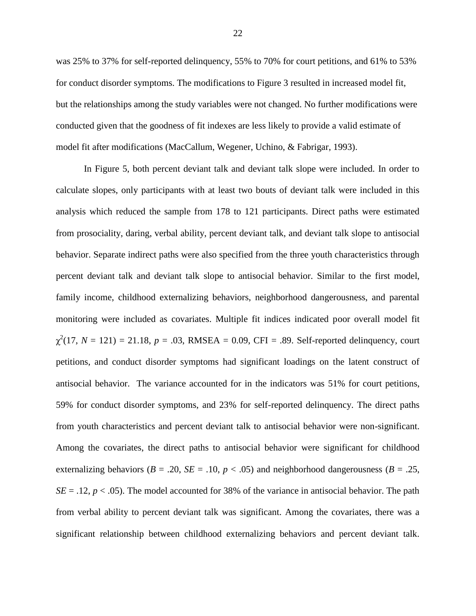was 25% to 37% for self-reported delinquency, 55% to 70% for court petitions, and 61% to 53% for conduct disorder symptoms. The modifications to Figure 3 resulted in increased model fit, but the relationships among the study variables were not changed. No further modifications were conducted given that the goodness of fit indexes are less likely to provide a valid estimate of model fit after modifications (MacCallum, Wegener, Uchino, & Fabrigar, 1993).

In Figure 5, both percent deviant talk and deviant talk slope were included. In order to calculate slopes, only participants with at least two bouts of deviant talk were included in this analysis which reduced the sample from 178 to 121 participants. Direct paths were estimated from prosociality, daring, verbal ability, percent deviant talk, and deviant talk slope to antisocial behavior. Separate indirect paths were also specified from the three youth characteristics through percent deviant talk and deviant talk slope to antisocial behavior. Similar to the first model, family income, childhood externalizing behaviors, neighborhood dangerousness, and parental monitoring were included as covariates. Multiple fit indices indicated poor overall model fit  $\chi^2(17, N = 121) = 21.18, p = .03, RMSEA = 0.09, CFI = .89$ . Self-reported delinquency, court petitions, and conduct disorder symptoms had significant loadings on the latent construct of antisocial behavior. The variance accounted for in the indicators was 51% for court petitions, 59% for conduct disorder symptoms, and 23% for self-reported delinquency. The direct paths from youth characteristics and percent deviant talk to antisocial behavior were non-significant. Among the covariates, the direct paths to antisocial behavior were significant for childhood externalizing behaviors ( $B = .20$ ,  $SE = .10$ ,  $p < .05$ ) and neighborhood dangerousness ( $B = .25$ ,  $SE = .12$ ,  $p < .05$ ). The model accounted for 38% of the variance in antisocial behavior. The path from verbal ability to percent deviant talk was significant. Among the covariates, there was a significant relationship between childhood externalizing behaviors and percent deviant talk.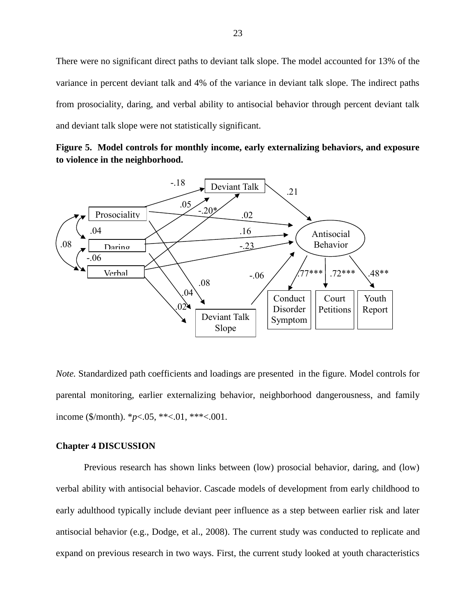There were no significant direct paths to deviant talk slope. The model accounted for 13% of the variance in percent deviant talk and 4% of the variance in deviant talk slope. The indirect paths from prosociality, daring, and verbal ability to antisocial behavior through percent deviant talk and deviant talk slope were not statistically significant.

**Figure 5. Model controls for monthly income, early externalizing behaviors, and exposure to violence in the neighborhood.** 



*Note.* Standardized path coefficients and loadings are presented in the figure. Model controls for parental monitoring, earlier externalizing behavior, neighborhood dangerousness, and family income ( $\gamma$ month). \**p*<.05, \*\*<.01, \*\*\*<.001.

# **Chapter 4 DISCUSSION**

Previous research has shown links between (low) prosocial behavior, daring, and (low) verbal ability with antisocial behavior. Cascade models of development from early childhood to early adulthood typically include deviant peer influence as a step between earlier risk and later antisocial behavior (e.g., Dodge, et al., 2008). The current study was conducted to replicate and expand on previous research in two ways. First, the current study looked at youth characteristics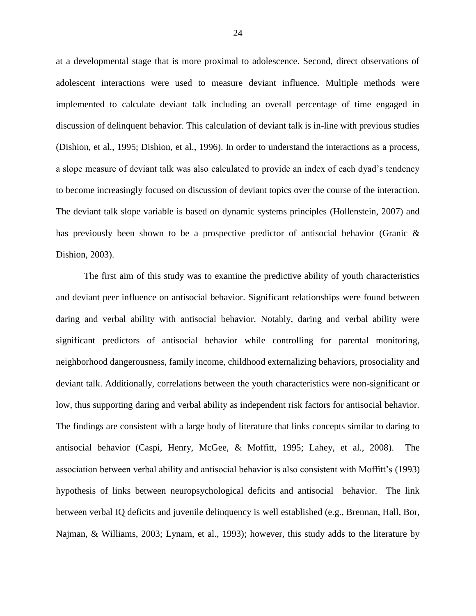at a developmental stage that is more proximal to adolescence. Second, direct observations of adolescent interactions were used to measure deviant influence. Multiple methods were implemented to calculate deviant talk including an overall percentage of time engaged in discussion of delinquent behavior. This calculation of deviant talk is in-line with previous studies (Dishion, et al., 1995; Dishion, et al., 1996). In order to understand the interactions as a process, a slope measure of deviant talk was also calculated to provide an index of each dyad's tendency to become increasingly focused on discussion of deviant topics over the course of the interaction. The deviant talk slope variable is based on dynamic systems principles (Hollenstein, 2007) and has previously been shown to be a prospective predictor of antisocial behavior (Granic & Dishion, 2003).

The first aim of this study was to examine the predictive ability of youth characteristics and deviant peer influence on antisocial behavior. Significant relationships were found between daring and verbal ability with antisocial behavior. Notably, daring and verbal ability were significant predictors of antisocial behavior while controlling for parental monitoring, neighborhood dangerousness, family income, childhood externalizing behaviors, prosociality and deviant talk. Additionally, correlations between the youth characteristics were non-significant or low, thus supporting daring and verbal ability as independent risk factors for antisocial behavior. The findings are consistent with a large body of literature that links concepts similar to daring to antisocial behavior (Caspi, Henry, McGee, & Moffitt, 1995; Lahey, et al., 2008). The association between verbal ability and antisocial behavior is also consistent with Moffitt's (1993) hypothesis of links between neuropsychological deficits and antisocial behavior. The link between verbal IQ deficits and juvenile delinquency is well established (e.g., Brennan, Hall, Bor, Najman, & Williams, 2003; Lynam, et al., 1993); however, this study adds to the literature by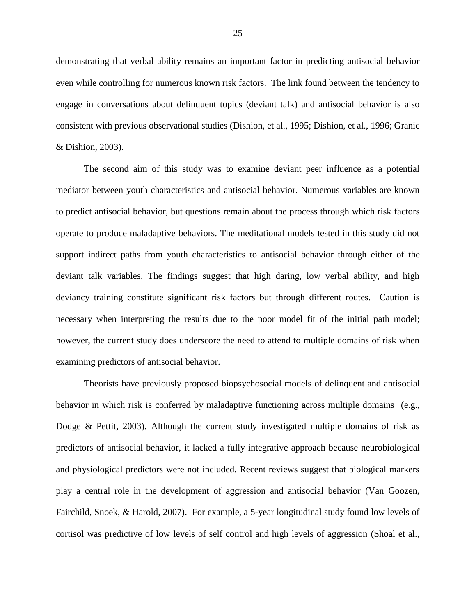demonstrating that verbal ability remains an important factor in predicting antisocial behavior even while controlling for numerous known risk factors. The link found between the tendency to engage in conversations about delinquent topics (deviant talk) and antisocial behavior is also consistent with previous observational studies (Dishion, et al., 1995; Dishion, et al., 1996; Granic & Dishion, 2003).

The second aim of this study was to examine deviant peer influence as a potential mediator between youth characteristics and antisocial behavior. Numerous variables are known to predict antisocial behavior, but questions remain about the process through which risk factors operate to produce maladaptive behaviors. The meditational models tested in this study did not support indirect paths from youth characteristics to antisocial behavior through either of the deviant talk variables. The findings suggest that high daring, low verbal ability, and high deviancy training constitute significant risk factors but through different routes. Caution is necessary when interpreting the results due to the poor model fit of the initial path model; however, the current study does underscore the need to attend to multiple domains of risk when examining predictors of antisocial behavior.

Theorists have previously proposed biopsychosocial models of delinquent and antisocial behavior in which risk is conferred by maladaptive functioning across multiple domains (e.g., Dodge & Pettit, 2003). Although the current study investigated multiple domains of risk as predictors of antisocial behavior, it lacked a fully integrative approach because neurobiological and physiological predictors were not included. Recent reviews suggest that biological markers play a central role in the development of aggression and antisocial behavior (Van Goozen, Fairchild, Snoek, & Harold, 2007). For example, a 5-year longitudinal study found low levels of cortisol was predictive of low levels of self control and high levels of aggression (Shoal et al.,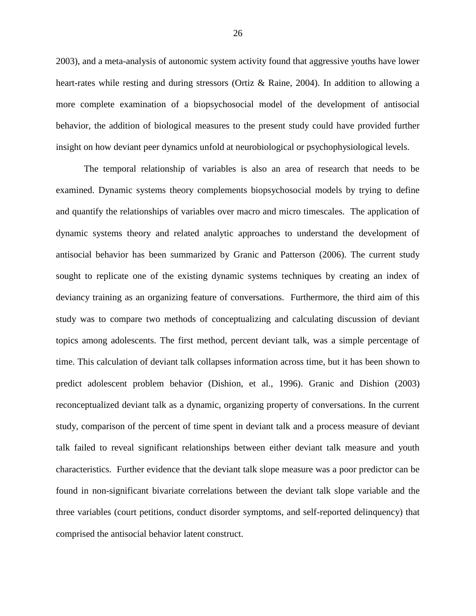2003), and a meta-analysis of autonomic system activity found that aggressive youths have lower heart-rates while resting and during stressors (Ortiz & Raine, 2004). In addition to allowing a more complete examination of a biopsychosocial model of the development of antisocial behavior, the addition of biological measures to the present study could have provided further insight on how deviant peer dynamics unfold at neurobiological or psychophysiological levels.

The temporal relationship of variables is also an area of research that needs to be examined. Dynamic systems theory complements biopsychosocial models by trying to define and quantify the relationships of variables over macro and micro timescales. The application of dynamic systems theory and related analytic approaches to understand the development of antisocial behavior has been summarized by Granic and Patterson (2006). The current study sought to replicate one of the existing dynamic systems techniques by creating an index of deviancy training as an organizing feature of conversations. Furthermore, the third aim of this study was to compare two methods of conceptualizing and calculating discussion of deviant topics among adolescents. The first method, percent deviant talk, was a simple percentage of time. This calculation of deviant talk collapses information across time, but it has been shown to predict adolescent problem behavior (Dishion, et al., 1996). Granic and Dishion (2003) reconceptualized deviant talk as a dynamic, organizing property of conversations. In the current study, comparison of the percent of time spent in deviant talk and a process measure of deviant talk failed to reveal significant relationships between either deviant talk measure and youth characteristics. Further evidence that the deviant talk slope measure was a poor predictor can be found in non-significant bivariate correlations between the deviant talk slope variable and the three variables (court petitions, conduct disorder symptoms, and self-reported delinquency) that comprised the antisocial behavior latent construct.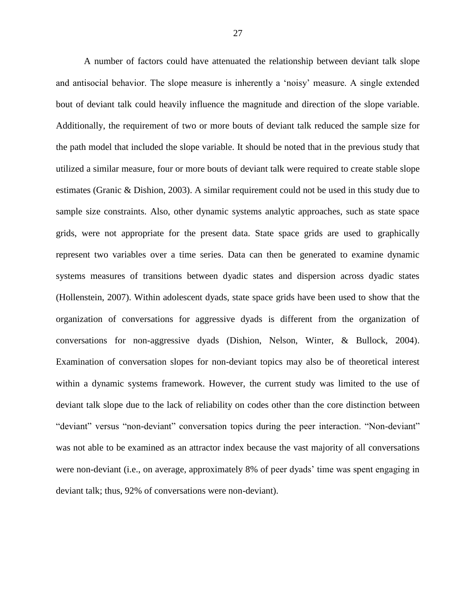A number of factors could have attenuated the relationship between deviant talk slope and antisocial behavior. The slope measure is inherently a 'noisy' measure. A single extended bout of deviant talk could heavily influence the magnitude and direction of the slope variable. Additionally, the requirement of two or more bouts of deviant talk reduced the sample size for the path model that included the slope variable. It should be noted that in the previous study that utilized a similar measure, four or more bouts of deviant talk were required to create stable slope estimates (Granic & Dishion, 2003). A similar requirement could not be used in this study due to sample size constraints. Also, other dynamic systems analytic approaches, such as state space grids, were not appropriate for the present data. State space grids are used to graphically represent two variables over a time series. Data can then be generated to examine dynamic systems measures of transitions between dyadic states and dispersion across dyadic states (Hollenstein, 2007). Within adolescent dyads, state space grids have been used to show that the organization of conversations for aggressive dyads is different from the organization of conversations for non-aggressive dyads (Dishion, Nelson, Winter, & Bullock, 2004). Examination of conversation slopes for non-deviant topics may also be of theoretical interest within a dynamic systems framework. However, the current study was limited to the use of deviant talk slope due to the lack of reliability on codes other than the core distinction between "deviant" versus "non-deviant" conversation topics during the peer interaction. "Non-deviant" was not able to be examined as an attractor index because the vast majority of all conversations were non-deviant (i.e., on average, approximately 8% of peer dyads' time was spent engaging in deviant talk; thus, 92% of conversations were non-deviant).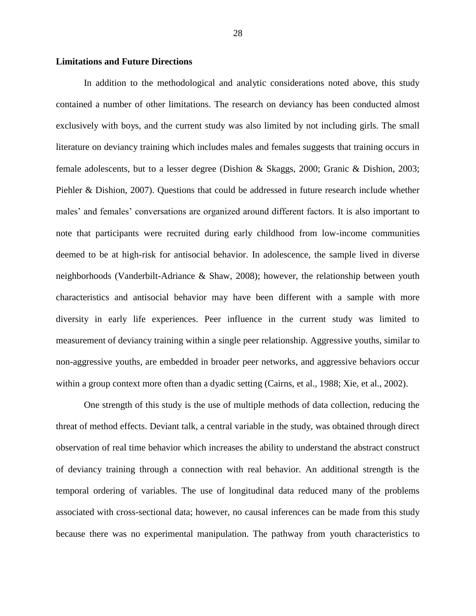#### **Limitations and Future Directions**

In addition to the methodological and analytic considerations noted above, this study contained a number of other limitations. The research on deviancy has been conducted almost exclusively with boys, and the current study was also limited by not including girls. The small literature on deviancy training which includes males and females suggests that training occurs in female adolescents, but to a lesser degree (Dishion & Skaggs, 2000; Granic & Dishion, 2003; Piehler & Dishion, 2007). Questions that could be addressed in future research include whether males' and females' conversations are organized around different factors. It is also important to note that participants were recruited during early childhood from low-income communities deemed to be at high-risk for antisocial behavior. In adolescence, the sample lived in diverse neighborhoods (Vanderbilt-Adriance & Shaw, 2008); however, the relationship between youth characteristics and antisocial behavior may have been different with a sample with more diversity in early life experiences. Peer influence in the current study was limited to measurement of deviancy training within a single peer relationship. Aggressive youths, similar to non-aggressive youths, are embedded in broader peer networks, and aggressive behaviors occur within a group context more often than a dyadic setting (Cairns, et al., 1988; Xie, et al., 2002).

One strength of this study is the use of multiple methods of data collection, reducing the threat of method effects. Deviant talk, a central variable in the study, was obtained through direct observation of real time behavior which increases the ability to understand the abstract construct of deviancy training through a connection with real behavior. An additional strength is the temporal ordering of variables. The use of longitudinal data reduced many of the problems associated with cross-sectional data; however, no causal inferences can be made from this study because there was no experimental manipulation. The pathway from youth characteristics to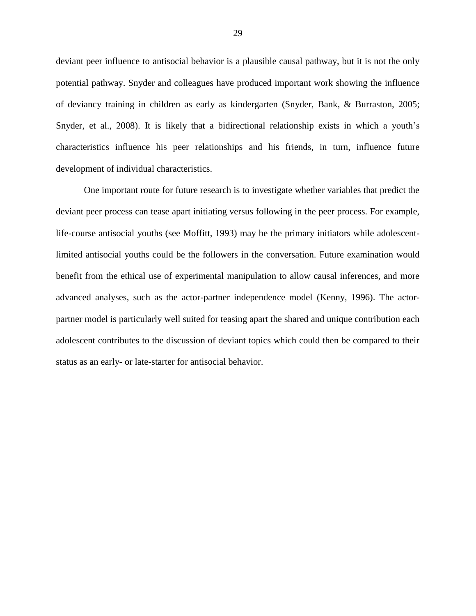deviant peer influence to antisocial behavior is a plausible causal pathway, but it is not the only potential pathway. Snyder and colleagues have produced important work showing the influence of deviancy training in children as early as kindergarten (Snyder, Bank, & Burraston, 2005; Snyder, et al., 2008). It is likely that a bidirectional relationship exists in which a youth's characteristics influence his peer relationships and his friends, in turn, influence future development of individual characteristics.

One important route for future research is to investigate whether variables that predict the deviant peer process can tease apart initiating versus following in the peer process. For example, life-course antisocial youths (see Moffitt, 1993) may be the primary initiators while adolescentlimited antisocial youths could be the followers in the conversation. Future examination would benefit from the ethical use of experimental manipulation to allow causal inferences, and more advanced analyses, such as the actor-partner independence model (Kenny, 1996). The actorpartner model is particularly well suited for teasing apart the shared and unique contribution each adolescent contributes to the discussion of deviant topics which could then be compared to their status as an early- or late-starter for antisocial behavior.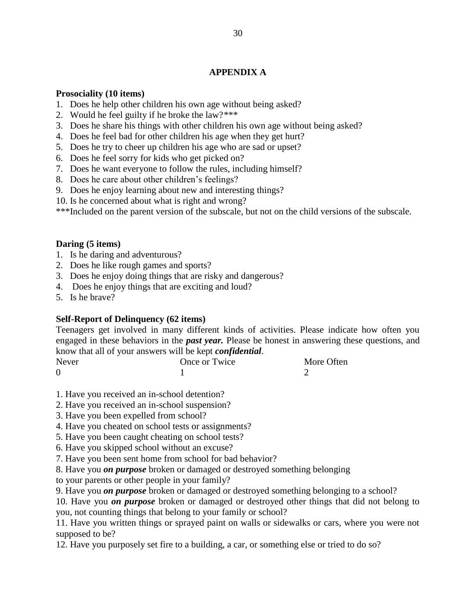# **APPENDIX A**

# **Prosociality (10 items)**

- 1. Does he help other children his own age without being asked?
- 2. Would he feel guilty if he broke the law?\*\*\*
- 3. Does he share his things with other children his own age without being asked?
- 4. Does he feel bad for other children his age when they get hurt?
- 5. Does he try to cheer up children his age who are sad or upset?
- 6. Does he feel sorry for kids who get picked on?
- 7. Does he want everyone to follow the rules, including himself?
- 8. Does he care about other children's feelings?
- 9. Does he enjoy learning about new and interesting things?
- 10. Is he concerned about what is right and wrong?

\*\*\*Included on the parent version of the subscale, but not on the child versions of the subscale.

# **Daring (5 items)**

- 1. Is he daring and adventurous?
- 2. Does he like rough games and sports?
- 3. Does he enjoy doing things that are risky and dangerous?
- 4. Does he enjoy things that are exciting and loud?
- 5. Is he brave?

# **Self-Report of Delinquency (62 items)**

Teenagers get involved in many different kinds of activities. Please indicate how often you engaged in these behaviors in the *past year.* Please be honest in answering these questions, and know that all of your answers will be kept *confidential*.

| <b>Never</b> | Once or Twice | More Often |
|--------------|---------------|------------|
|              |               |            |

1. Have you received an in-school detention?

- 2. Have you received an in-school suspension?
- 3. Have you been expelled from school?
- 4. Have you cheated on school tests or assignments?
- 5. Have you been caught cheating on school tests?
- 6. Have you skipped school without an excuse?
- 7. Have you been sent home from school for bad behavior?
- 8. Have you *on purpose* broken or damaged or destroyed something belonging

to your parents or other people in your family?

9. Have you *on purpose* broken or damaged or destroyed something belonging to a school?

10. Have you *on purpose* broken or damaged or destroyed other things that did not belong to you, not counting things that belong to your family or school?

11. Have you written things or sprayed paint on walls or sidewalks or cars, where you were not supposed to be?

12. Have you purposely set fire to a building, a car, or something else or tried to do so?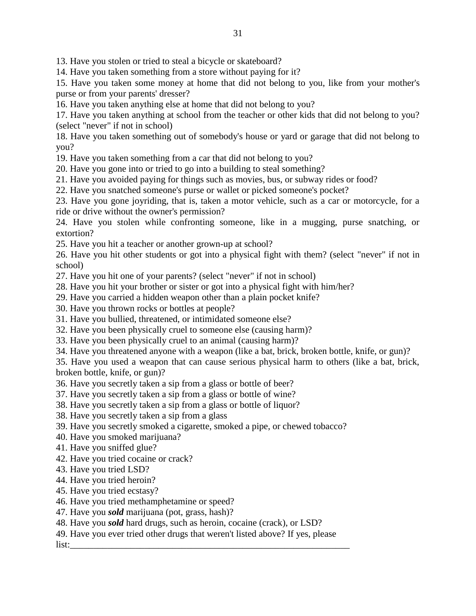13. Have you stolen or tried to steal a bicycle or skateboard?

14. Have you taken something from a store without paying for it?

15. Have you taken some money at home that did not belong to you, like from your mother's purse or from your parents' dresser?

16. Have you taken anything else at home that did not belong to you?

17. Have you taken anything at school from the teacher or other kids that did not belong to you? (select "never" if not in school)

18. Have you taken something out of somebody's house or yard or garage that did not belong to you?

19. Have you taken something from a car that did not belong to you?

20. Have you gone into or tried to go into a building to steal something?

21. Have you avoided paying for things such as movies, bus, or subway rides or food?

22. Have you snatched someone's purse or wallet or picked someone's pocket?

23. Have you gone joyriding, that is, taken a motor vehicle, such as a car or motorcycle, for a ride or drive without the owner's permission?

24. Have you stolen while confronting someone, like in a mugging, purse snatching, or extortion?

25. Have you hit a teacher or another grown-up at school?

26. Have you hit other students or got into a physical fight with them? (select "never" if not in school)

27. Have you hit one of your parents? (select "never" if not in school)

28. Have you hit your brother or sister or got into a physical fight with him/her?

29. Have you carried a hidden weapon other than a plain pocket knife?

30. Have you thrown rocks or bottles at people?

31. Have you bullied, threatened, or intimidated someone else?

32. Have you been physically cruel to someone else (causing harm)?

33. Have you been physically cruel to an animal (causing harm)?

34. Have you threatened anyone with a weapon (like a bat, brick, broken bottle, knife, or gun)?

35. Have you used a weapon that can cause serious physical harm to others (like a bat, brick, broken bottle, knife, or gun)?

36. Have you secretly taken a sip from a glass or bottle of beer?

37. Have you secretly taken a sip from a glass or bottle of wine?

38. Have you secretly taken a sip from a glass or bottle of liquor?

38. Have you secretly taken a sip from a glass

39. Have you secretly smoked a cigarette, smoked a pipe, or chewed tobacco?

40. Have you smoked marijuana?

41. Have you sniffed glue?

42. Have you tried cocaine or crack?

43. Have you tried LSD?

44. Have you tried heroin?

45. Have you tried ecstasy?

46. Have you tried methamphetamine or speed?

47. Have you *sold* marijuana (pot, grass, hash)?

48. Have you *sold* hard drugs, such as heroin, cocaine (crack), or LSD?

49. Have you ever tried other drugs that weren't listed above? If yes, please

list:\_\_\_\_\_\_\_\_\_\_\_\_\_\_\_\_\_\_\_\_\_\_\_\_\_\_\_\_\_\_\_\_\_\_\_\_\_\_\_\_\_\_\_\_\_\_\_\_\_\_\_\_\_\_\_\_\_\_\_\_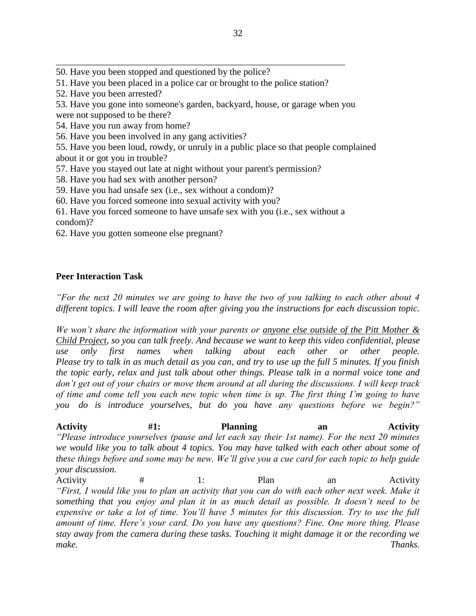50. Have you been stopped and questioned by the police?

51. Have you been placed in a police car or brought to the police station?

\_\_\_\_\_\_\_\_\_\_\_\_\_\_\_\_\_\_\_\_\_\_\_\_\_\_\_\_\_\_\_\_\_\_\_\_\_\_\_\_\_\_\_\_\_\_\_\_\_\_\_\_\_\_\_\_\_\_\_\_\_\_

52. Have you been arrested?

53. Have you gone into someone's garden, backyard, house, or garage when you

were not supposed to be there?

54. Have you run away from home?

56. Have you been involved in any gang activities?

55. Have you been loud, rowdy, or unruly in a public place so that people complained about it or got you in trouble?

57. Have you stayed out late at night without your parent's permission?

58. Have you had sex with another person?

59. Have you had unsafe sex (i.e., sex without a condom)?

60. Have you forced someone into sexual activity with you?

61. Have you forced someone to have unsafe sex with you (i.e., sex without a condom)?

62. Have you gotten someone else pregnant?

# **Peer Interaction Task**

*"For the next 20 minutes we are going to have the two of you talking to each other about 4 different topics. I will leave the room after giving you the instructions for each discussion topic.*

*We won't share the information with your parents or anyone else outside of the Pitt Mother & Child Project, so you can talk freely. And because we want to keep this video confidential, please use only first names when talking about each other or other people. Please try to talk in as much detail as you can, and try to use up the full 5 minutes. If you finish the topic early, relax and just talk about other things. Please talk in a normal voice tone and don't get out of your chairs or move them around at all during the discussions. I will keep track of time and come tell you each new topic when time is up. The first thing I'm going to have you do is introduce yourselves, but do you have any questions before we begin?"*

Activity #1: Planning an Activity *"Please introduce yourselves (pause and let each say their 1st name). For the next 20 minutes we would like you to talk about 4 topics. You may have talked with each other about some of these things before and some may be new. We'll give you a cue card for each topic to help guide your discussion.*

Activity # 1: Plan an Activity *"First, I would like you to plan an activity that you can do with each other next week. Make it something that you enjoy and plan it in as much detail as possible. It doesn't need to be expensive or take a lot of time. You'll have 5 minutes for this discussion. Try to use the full amount of time. Here's your card. Do you have any questions? Fine. One more thing. Please stay away from the camera during these tasks. Touching it might damage it or the recording we make. Thanks.*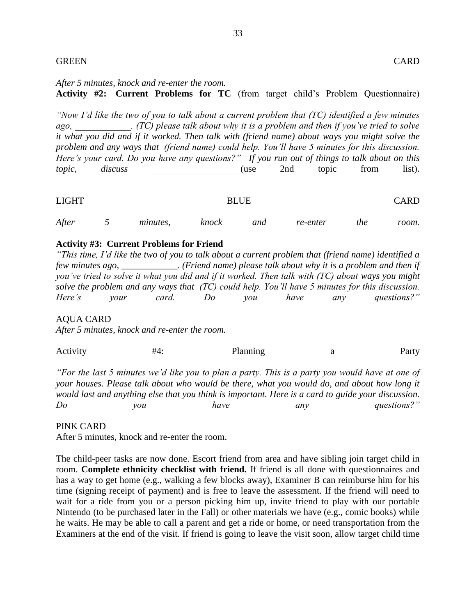# GREEN CARD

# *After 5 minutes, knock and re-enter the room.* **Activity #2: Current Problems for TC** (from target child's Problem Questionnaire)

*"Now I'd like the two of you to talk about a current problem that (TC) identified a few minutes ago, \_\_\_\_\_\_\_\_\_\_\_\_. (TC) please talk about why it is a problem and then if you've tried to solve it what you did and if it worked. Then talk with (friend name) about ways you might solve the problem and any ways that (friend name) could help. You'll have 5 minutes for this discussion. Here's your card. Do you have any questions?" If you run out of things to talk about on this topic*, *discuss* 1993 **discuss** 1.1 **discuss** 1.1 **discuss** 1.1 **discuss** 1.1 **discuss** 1.1 **discuss** 1.1 **discuss** 1.1 **discuss** 1.1 **discuss** 1.1 **discuss** 1.1 **discuss** 1.1 **discuss** 1.1 **discuss** 1.1 **discuss** 1.1 **d** 

| <b>LIGHT</b> |   |          |       | <b>BLUE</b> |          |     | <b>CARD</b> |
|--------------|---|----------|-------|-------------|----------|-----|-------------|
| After        | ັ | minutes, | knock | and         | re-enter | the | room.       |

# **Activity #3: Current Problems for Friend**

*"This time, I'd like the two of you to talk about a current problem that (friend name) identified a few minutes ago, \_\_\_\_\_\_\_\_\_\_\_\_. (Friend name) please talk about why it is a problem and then if you've tried to solve it what you did and if it worked. Then talk with (TC) about ways you might solve the problem and any ways that (TC) could help. You'll have 5 minutes for this discussion. Here's your card. Do you have any questions?"*

AQUA CARD

*After 5 minutes, knock and re-enter the room.*

| Activity | #4· | Planning |  | Party |
|----------|-----|----------|--|-------|
|----------|-----|----------|--|-------|

*"For the last 5 minutes we'd like you to plan a party. This is a party you would have at one of your houses. Please talk about who would be there, what you would do, and about how long it would last and anything else that you think is important. Here is a card to guide your discussion. Do you have any questions?"*

#### PINK CARD

After 5 minutes, knock and re-enter the room.

The child-peer tasks are now done. Escort friend from area and have sibling join target child in room. **Complete ethnicity checklist with friend.** If friend is all done with questionnaires and has a way to get home (e.g., walking a few blocks away), Examiner B can reimburse him for his time (signing receipt of payment) and is free to leave the assessment. If the friend will need to wait for a ride from you or a person picking him up, invite friend to play with our portable Nintendo (to be purchased later in the Fall) or other materials we have (e.g., comic books) while he waits. He may be able to call a parent and get a ride or home, or need transportation from the Examiners at the end of the visit. If friend is going to leave the visit soon, allow target child time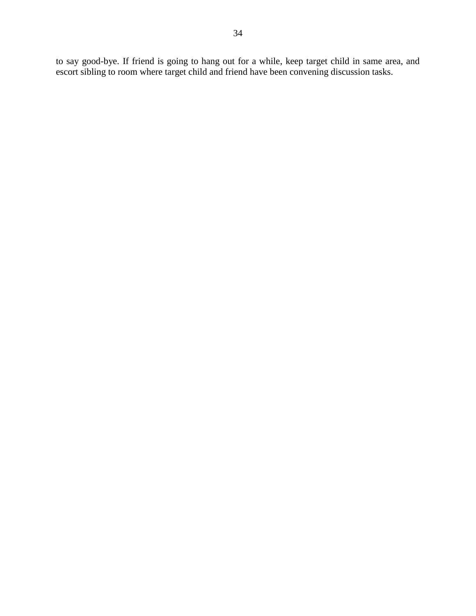to say good-bye. If friend is going to hang out for a while, keep target child in same area, and escort sibling to room where target child and friend have been convening discussion tasks.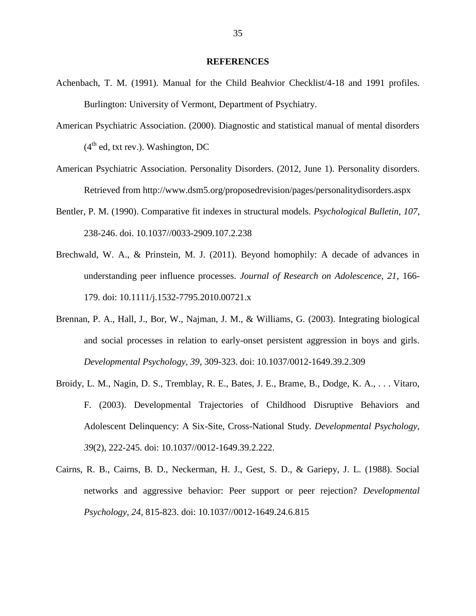#### **REFERENCES**

- Achenbach, T. M. (1991). Manual for the Child Beahvior Checklist/4-18 and 1991 profiles. Burlington: University of Vermont, Department of Psychiatry.
- American Psychiatric Association. (2000). Diagnostic and statistical manual of mental disorders  $(4<sup>th</sup>$  ed, txt rev.). Washington, DC
- American Psychiatric Association. Personality Disorders. (2012, June 1). Personality disorders. Retrieved from http://www.dsm5.org/proposedrevision/pages/personalitydisorders.aspx
- Bentler, P. M. (1990). Comparative fit indexes in structural models. *Psychological Bulletin, 107*, 238-246. doi. 10.1037//0033-2909.107.2.238
- Brechwald, W. A., & Prinstein, M. J. (2011). Beyond homophily: A decade of advances in understanding peer influence processes. *Journal of Research on Adolescence, 21*, 166- 179. doi: 10.1111/j.1532-7795.2010.00721.x
- Brennan, P. A., Hall, J., Bor, W., Najman, J. M., & Williams, G. (2003). Integrating biological and social processes in relation to early-onset persistent aggression in boys and girls. *Developmental Psychology, 39*, 309-323. doi: 10.1037/0012-1649.39.2.309
- Broidy, L. M., Nagin, D. S., Tremblay, R. E., Bates, J. E., Brame, B., Dodge, K. A., . . . Vitaro, F. (2003). Developmental Trajectories of Childhood Disruptive Behaviors and Adolescent Delinquency: A Six-Site, Cross-National Study. *Developmental Psychology, 39*(2), 222-245. doi: 10.1037//0012-1649.39.2.222.
- Cairns, R. B., Cairns, B. D., Neckerman, H. J., Gest, S. D., & Gariepy, J. L. (1988). Social networks and aggressive behavior: Peer support or peer rejection? *Developmental Psychology, 24*, 815-823. doi: 10.1037//0012-1649.24.6.815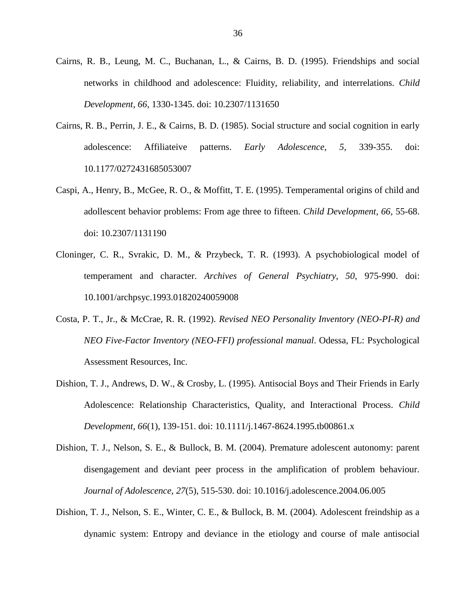- Cairns, R. B., Leung, M. C., Buchanan, L., & Cairns, B. D. (1995). Friendships and social networks in childhood and adolescence: Fluidity, reliability, and interrelations. *Child Development, 66*, 1330-1345. doi: 10.2307/1131650
- Cairns, R. B., Perrin, J. E., & Cairns, B. D. (1985). Social structure and social cognition in early adolescence: Affiliateive patterns. *Early Adolescence, 5*, 339-355. doi: 10.1177/0272431685053007
- Caspi, A., Henry, B., McGee, R. O., & Moffitt, T. E. (1995). Temperamental origins of child and adollescent behavior problems: From age three to fifteen. *Child Development, 66*, 55-68. doi: 10.2307/1131190
- Cloninger, C. R., Svrakic, D. M., & Przybeck, T. R. (1993). A psychobiological model of temperament and character. *Archives of General Psychiatry, 50*, 975-990. doi: 10.1001/archpsyc.1993.01820240059008
- Costa, P. T., Jr., & McCrae, R. R. (1992). *Revised NEO Personality Inventory (NEO-PI-R) and NEO Five-Factor Inventory (NEO-FFI) professional manual*. Odessa, FL: Psychological Assessment Resources, Inc.
- Dishion, T. J., Andrews, D. W., & Crosby, L. (1995). Antisocial Boys and Their Friends in Early Adolescence: Relationship Characteristics, Quality, and Interactional Process. *Child Development, 66*(1), 139-151. doi: 10.1111/j.1467-8624.1995.tb00861.x
- Dishion, T. J., Nelson, S. E., & Bullock, B. M. (2004). Premature adolescent autonomy: parent disengagement and deviant peer process in the amplification of problem behaviour. *Journal of Adolescence, 27*(5), 515-530. doi: 10.1016/j.adolescence.2004.06.005
- Dishion, T. J., Nelson, S. E., Winter, C. E., & Bullock, B. M. (2004). Adolescent freindship as a dynamic system: Entropy and deviance in the etiology and course of male antisocial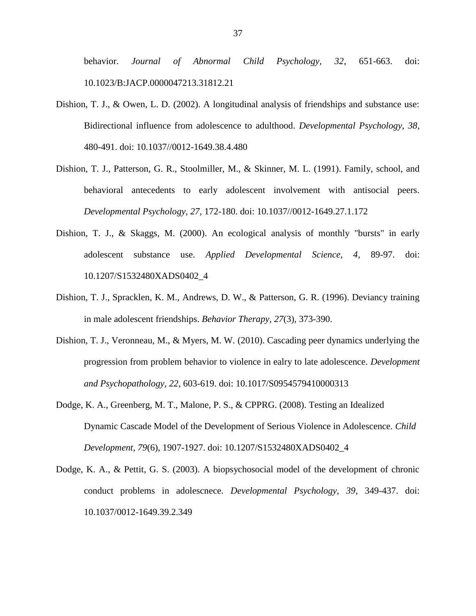behavior. *Journal of Abnormal Child Psychology, 32*, 651-663. doi: 10.1023/B:JACP.0000047213.31812.21

- Dishion, T. J., & Owen, L. D. (2002). A longitudinal analysis of friendships and substance use: Bidirectional influence from adolescence to adulthood. *Developmental Psychology, 38*, 480-491. doi: 10.1037//0012-1649.38.4.480
- Dishion, T. J., Patterson, G. R., Stoolmiller, M., & Skinner, M. L. (1991). Family, school, and behavioral antecedents to early adolescent involvement with antisocial peers. *Developmental Psychology, 27*, 172-180. doi: 10.1037//0012-1649.27.1.172
- Dishion, T. J., & Skaggs, M. (2000). An ecological analysis of monthly "bursts" in early adolescent substance use. *Applied Developmental Science, 4*, 89-97. doi: 10.1207/S1532480XADS0402\_4
- Dishion, T. J., Spracklen, K. M., Andrews, D. W., & Patterson, G. R. (1996). Deviancy training in male adolescent friendships. *Behavior Therapy, 27*(3), 373-390.
- Dishion, T. J., Veronneau, M., & Myers, M. W. (2010). Cascading peer dynamics underlying the progression from problem behavior to violence in ealry to late adolescence. *Development and Psychopathology, 22*, 603-619. doi: 10.1017/S0954579410000313
- Dodge, K. A., Greenberg, M. T., Malone, P. S., & CPPRG. (2008). Testing an Idealized Dynamic Cascade Model of the Development of Serious Violence in Adolescence. *Child Development, 79*(6), 1907-1927. doi: 10.1207/S1532480XADS0402\_4
- Dodge, K. A., & Pettit, G. S. (2003). A biopsychosocial model of the development of chronic conduct problems in adolescnece. *Developmental Psychology, 39*, 349-437. doi: 10.1037/0012-1649.39.2.349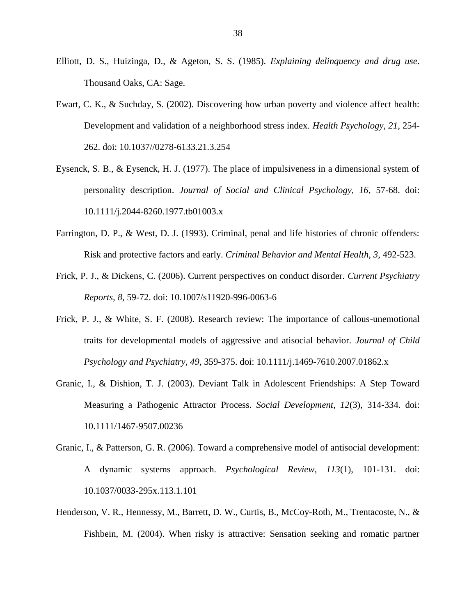- Elliott, D. S., Huizinga, D., & Ageton, S. S. (1985). *Explaining delinquency and drug use*. Thousand Oaks, CA: Sage.
- Ewart, C. K., & Suchday, S. (2002). Discovering how urban poverty and violence affect health: Development and validation of a neighborhood stress index. *Health Psychology, 21*, 254- 262. doi: 10.1037//0278-6133.21.3.254
- Eysenck, S. B., & Eysenck, H. J. (1977). The place of impulsiveness in a dimensional system of personality description. *Journal of Social and Clinical Psychology, 16*, 57-68. doi: 10.1111/j.2044-8260.1977.tb01003.x
- Farrington, D. P., & West, D. J. (1993). Criminal, penal and life histories of chronic offenders: Risk and protective factors and early. *Criminal Behavior and Mental Health, 3*, 492-523.
- Frick, P. J., & Dickens, C. (2006). Current perspectives on conduct disorder. *Current Psychiatry Reports, 8*, 59-72. doi: 10.1007/s11920-996-0063-6
- Frick, P. J., & White, S. F. (2008). Research review: The importance of callous-unemotional traits for developmental models of aggressive and atisocial behavior. *Journal of Child Psychology and Psychiatry, 49*, 359-375. doi: 10.1111/j.1469-7610.2007.01862.x
- Granic, I., & Dishion, T. J. (2003). Deviant Talk in Adolescent Friendships: A Step Toward Measuring a Pathogenic Attractor Process. *Social Development, 12*(3), 314-334. doi: 10.1111/1467-9507.00236
- Granic, I., & Patterson, G. R. (2006). Toward a comprehensive model of antisocial development: A dynamic systems approach. *Psychological Review, 113*(1), 101-131. doi: 10.1037/0033-295x.113.1.101
- Henderson, V. R., Hennessy, M., Barrett, D. W., Curtis, B., McCoy-Roth, M., Trentacoste, N., & Fishbein, M. (2004). When risky is attractive: Sensation seeking and romatic partner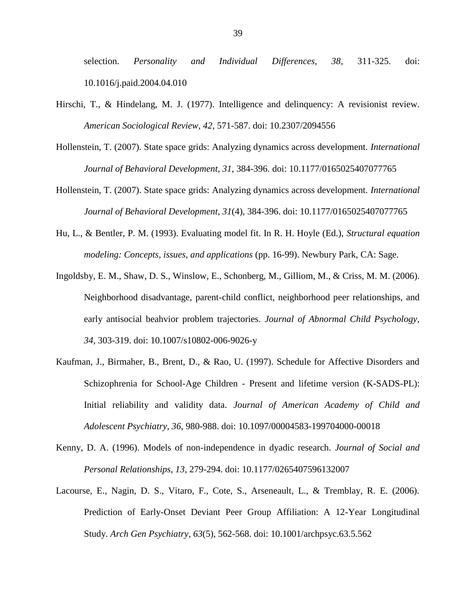selection. *Personality and Individual Differences, 38*, 311-325. doi: 10.1016/j.paid.2004.04.010

- Hirschi, T., & Hindelang, M. J. (1977). Intelligence and delinquency: A revisionist review. *American Sociological Review, 42*, 571-587. doi: [10.2307/2094556](http://dx.doi.org/10.2307%2F2094556)
- Hollenstein, T. (2007). State space grids: Analyzing dynamics across development. *International Journal of Behavioral Development, 31*, 384-396. doi: 10.1177/0165025407077765
- Hollenstein, T. (2007). State space grids: Analyzing dynamics across development. *International Journal of Behavioral Development, 31*(4), 384-396. doi: 10.1177/0165025407077765
- Hu, L., & Bentler, P. M. (1993). Evaluating model fit. In R. H. Hoyle (Ed.), *Structural equation modeling: Concepts, issues, and applications* (pp. 16-99). Newbury Park, CA: Sage.
- Ingoldsby, E. M., Shaw, D. S., Winslow, E., Schonberg, M., Gilliom, M., & Criss, M. M. (2006). Neighborhood disadvantage, parent-child conflict, neighborhood peer relationships, and early antisocial beahvior problem trajectories. *Journal of Abnormal Child Psychology, 34*, 303-319. doi: 10.1007/s10802-006-9026-y
- Kaufman, J., Birmaher, B., Brent, D., & Rao, U. (1997). Schedule for Affective Disorders and Schizophrenia for School-Age Children - Present and lifetime version (K-SADS-PL): Initial reliability and validity data. *Journal of American Academy of Child and Adolescent Psychiatry, 36*, 980-988. doi: [10.1097/00004583-199704000-00018](http://dx.doi.org/10.1097%2F00004583-199704000-00018)
- Kenny, D. A. (1996). Models of non-independence in dyadic research. *Journal of Social and Personal Relationships, 13*, 279-294. doi: 10.1177/0265407596132007
- Lacourse, E., Nagin, D. S., Vitaro, F., Cote, S., Arseneault, L., & Tremblay, R. E. (2006). Prediction of Early-Onset Deviant Peer Group Affiliation: A 12-Year Longitudinal Study. *Arch Gen Psychiatry, 63*(5), 562-568. doi: 10.1001/archpsyc.63.5.562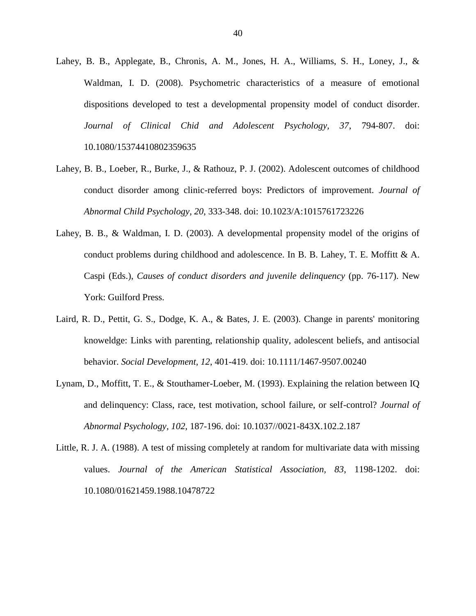- Lahey, B. B., Applegate, B., Chronis, A. M., Jones, H. A., Williams, S. H., Loney, J., & Waldman, I. D. (2008). Psychometric characteristics of a measure of emotional dispositions developed to test a developmental propensity model of conduct disorder. *Journal of Clinical Chid and Adolescent Psychology, 37*, 794-807. doi: 10.1080/15374410802359635
- Lahey, B. B., Loeber, R., Burke, J., & Rathouz, P. J. (2002). Adolescent outcomes of childhood conduct disorder among clinic-referred boys: Predictors of improvement. *Journal of Abnormal Child Psychology, 20*, 333-348. doi: 10.1023/A:1015761723226
- Lahey, B. B., & Waldman, I. D. (2003). A developmental propensity model of the origins of conduct problems during childhood and adolescence. In B. B. Lahey, T. E. Moffitt  $\& A$ . Caspi (Eds.), *Causes of conduct disorders and juvenile delinquency* (pp. 76-117). New York: Guilford Press.
- Laird, R. D., Pettit, G. S., Dodge, K. A., & Bates, J. E. (2003). Change in parents' monitoring knoweldge: Links with parenting, relationship quality, adolescent beliefs, and antisocial behavior. *Social Development, 12*, 401-419. doi: 10.1111/1467-9507.00240
- Lynam, D., Moffitt, T. E., & Stouthamer-Loeber, M. (1993). Explaining the relation between IQ and delinquency: Class, race, test motivation, school failure, or self-control? *Journal of Abnormal Psychology, 102*, 187-196. doi: 10.1037//0021-843X.102.2.187
- Little, R. J. A. (1988). A test of missing completely at random for multivariate data with missing values. *Journal of the American Statistical Association, 83*, 1198-1202. doi: 10.1080/01621459.1988.10478722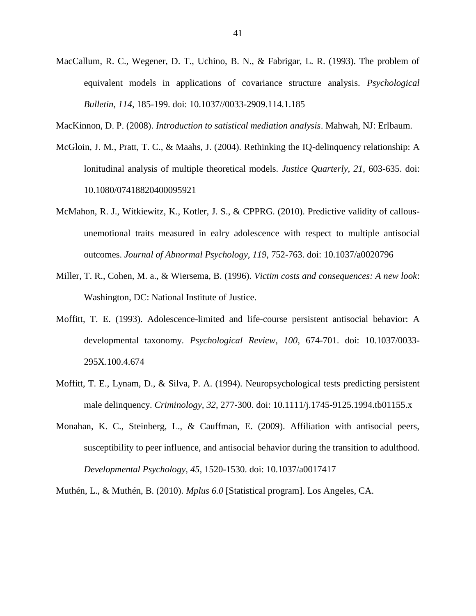- MacCallum, R. C., Wegener, D. T., Uchino, B. N., & Fabrigar, L. R. (1993). The problem of equivalent models in applications of covariance structure analysis. *Psychological Bulletin, 114*, 185-199. doi: 10.1037//0033-2909.114.1.185
- MacKinnon, D. P. (2008). *Introduction to satistical mediation analysis*. Mahwah, NJ: Erlbaum.
- McGloin, J. M., Pratt, T. C., & Maahs, J. (2004). Rethinking the IQ-delinquency relationship: A lonitudinal analysis of multiple theoretical models. *Justice Quarterly, 21*, 603-635. doi: 10.1080/07418820400095921
- McMahon, R. J., Witkiewitz, K., Kotler, J. S., & CPPRG. (2010). Predictive validity of callousunemotional traits measured in ealry adolescence with respect to multiple antisocial outcomes. *Journal of Abnormal Psychology, 119*, 752-763. doi: 10.1037/a0020796
- Miller, T. R., Cohen, M. a., & Wiersema, B. (1996). *Victim costs and consequences: A new look*: Washington, DC: National Institute of Justice.
- Moffitt, T. E. (1993). Adolescence-limited and life-course persistent antisocial behavior: A developmental taxonomy. *Psychological Review, 100*, 674-701. doi: 10.1037/0033- 295X.100.4.674
- Moffitt, T. E., Lynam, D., & Silva, P. A. (1994). Neuropsychological tests predicting persistent male delinquency. *Criminology, 32*, 277-300. doi: 10.1111/j.1745-9125.1994.tb01155.x
- Monahan, K. C., Steinberg, L., & Cauffman, E. (2009). Affiliation with antisocial peers, susceptibility to peer influence, and antisocial behavior during the transition to adulthood. *Developmental Psychology, 45*, 1520-1530. doi: 10.1037/a0017417

Muthén, L., & Muthén, B. (2010). *Mplus 6.0* [Statistical program]. Los Angeles, CA.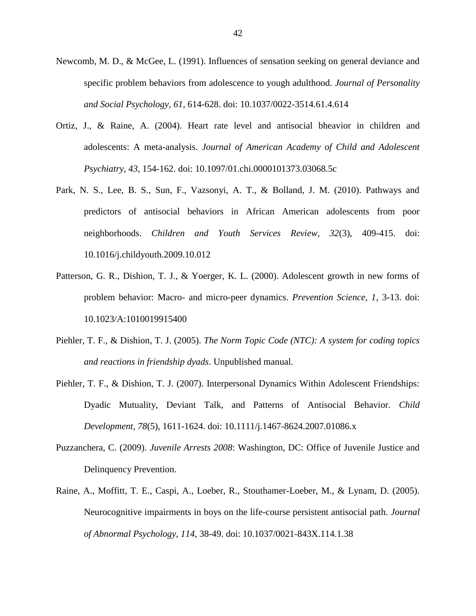- Newcomb, M. D., & McGee, L. (1991). Influences of sensation seeking on general deviance and specific problem behaviors from adolescence to yough adulthood. *Journal of Personality and Social Psychology, 61*, 614-628. doi: 10.1037/0022-3514.61.4.614
- Ortiz, J., & Raine, A. (2004). Heart rate level and antisocial bheavior in children and adolescents: A meta-analysis. *Journal of American Academy of Child and Adolescent Psychiatry, 43*, 154-162. doi: 10.1097/01.chi.0000101373.03068.5c
- Park, N. S., Lee, B. S., Sun, F., Vazsonyi, A. T., & Bolland, J. M. (2010). Pathways and predictors of antisocial behaviors in African American adolescents from poor neighborhoods. *Children and Youth Services Review, 32*(3), 409-415. doi: [10.1016/j.childyouth.2009.10.012](http://dx.doi.org/10.1016%2Fj.childyouth.2009.10.012)
- Patterson, G. R., Dishion, T. J., & Yoerger, K. L. (2000). Adolescent growth in new forms of problem behavior: Macro- and micro-peer dynamics. *Prevention Science, 1*, 3-13. doi: 10.1023/A:1010019915400
- Piehler, T. F., & Dishion, T. J. (2005). *The Norm Topic Code (NTC): A system for coding topics and reactions in friendship dyads*. Unpublished manual.
- Piehler, T. F., & Dishion, T. J. (2007). Interpersonal Dynamics Within Adolescent Friendships: Dyadic Mutuality, Deviant Talk, and Patterns of Antisocial Behavior. *Child Development, 78*(5), 1611-1624. doi: [10.1111/j.1467-8624.2007.01086.x](http://dx.doi.org/10.1111%2Fj.1467-8624.2007.01086.x)
- Puzzanchera, C. (2009). *Juvenile Arrests 2008*: Washington, DC: Office of Juvenile Justice and Delinquency Prevention.
- Raine, A., Moffitt, T. E., Caspi, A., Loeber, R., Stouthamer-Loeber, M., & Lynam, D. (2005). Neurocognitive impairments in boys on the life-course persistent antisocial path. *Journal of Abnormal Psychology, 114*, 38-49. doi: 10.1037/0021-843X.114.1.38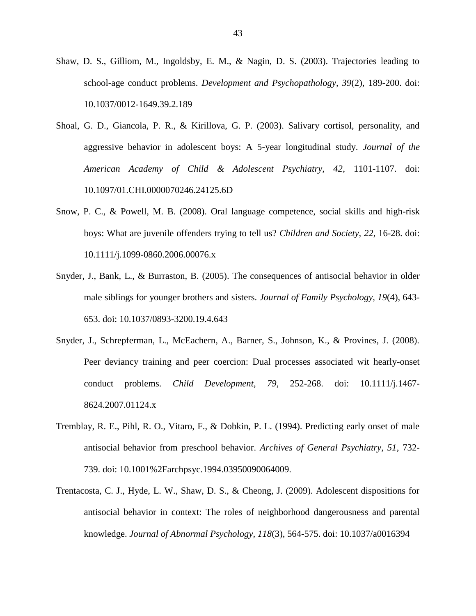- Shaw, D. S., Gilliom, M., Ingoldsby, E. M., & Nagin, D. S. (2003). Trajectories leading to school-age conduct problems. *Development and Psychopathology, 39*(2), 189-200. doi: 10.1037/0012-1649.39.2.189
- Shoal, G. D., Giancola, P. R., & Kirillova, G. P. (2003). Salivary cortisol, personality, and aggressive behavior in adolescent boys: A 5-year longitudinal study. *Journal of the American Academy of Child & Adolescent Psychiatry, 42*, 1101-1107. doi: 10.1097/01.CHI.0000070246.24125.6D
- Snow, P. C., & Powell, M. B. (2008). Oral language competence, social skills and high-risk boys: What are juvenile offenders trying to tell us? *Children and Society, 22*, 16-28. doi: 10.1111/j.1099-0860.2006.00076.x
- Snyder, J., Bank, L., & Burraston, B. (2005). The consequences of antisocial behavior in older male siblings for younger brothers and sisters. *Journal of Family Psychology, 19*(4), 643- 653. doi: 10.1037/0893-3200.19.4.643
- Snyder, J., Schrepferman, L., McEachern, A., Barner, S., Johnson, K., & Provines, J. (2008). Peer deviancy training and peer coercion: Dual processes associated wit hearly-onset conduct problems. *Child Development, 79*, 252-268. doi: 10.1111/j.1467- 8624.2007.01124.x
- Tremblay, R. E., Pihl, R. O., Vitaro, F., & Dobkin, P. L. (1994). Predicting early onset of male antisocial behavior from preschool behavior. *Archives of General Psychiatry, 51*, 732- 739. doi: 10.1001%2Farchpsyc.1994.03950090064009.
- Trentacosta, C. J., Hyde, L. W., Shaw, D. S., & Cheong, J. (2009). Adolescent dispositions for antisocial behavior in context: The roles of neighborhood dangerousness and parental knowledge. *Journal of Abnormal Psychology, 118*(3), 564-575. doi: 10.1037/a0016394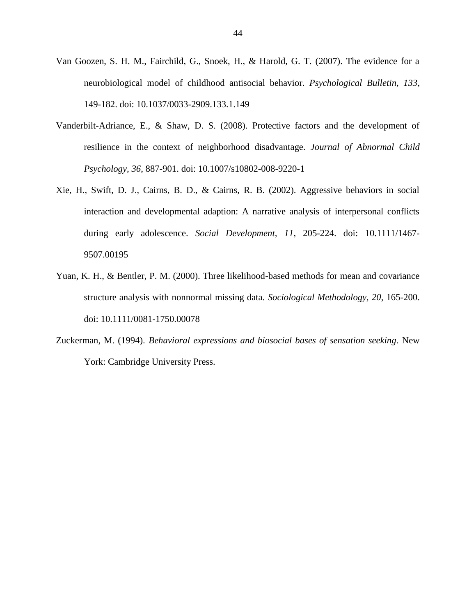- Van Goozen, S. H. M., Fairchild, G., Snoek, H., & Harold, G. T. (2007). The evidence for a neurobiological model of childhood antisocial behavior. *Psychological Bulletin, 133*, 149-182. doi: 10.1037/0033-2909.133.1.149
- Vanderbilt-Adriance, E., & Shaw, D. S. (2008). Protective factors and the development of resilience in the context of neighborhood disadvantage. *Journal of Abnormal Child Psychology, 36*, 887-901. doi: 10.1007/s10802-008-9220-1
- Xie, H., Swift, D. J., Cairns, B. D., & Cairns, R. B. (2002). Aggressive behaviors in social interaction and developmental adaption: A narrative analysis of interpersonal conflicts during early adolescence. *Social Development, 11*, 205-224. doi: 10.1111/1467- 9507.00195
- Yuan, K. H., & Bentler, P. M. (2000). Three likelihood-based methods for mean and covariance structure analysis with nonnormal missing data. *Sociological Methodology, 20*, 165-200. doi: 10.1111/0081-1750.00078
- Zuckerman, M. (1994). *Behavioral expressions and biosocial bases of sensation seeking*. New York: Cambridge University Press.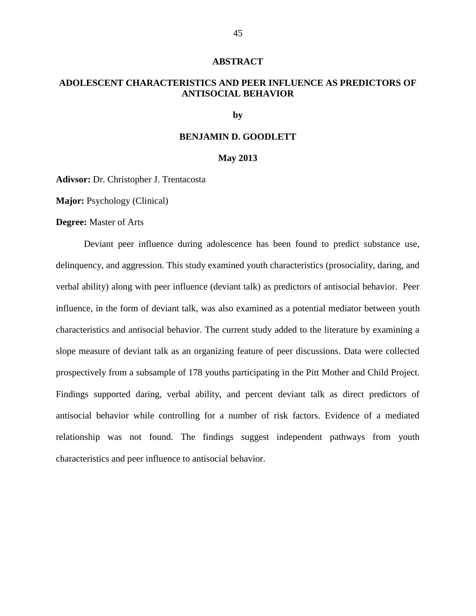#### **ABSTRACT**

# **ADOLESCENT CHARACTERISTICS AND PEER INFLUENCE AS PREDICTORS OF ANTISOCIAL BEHAVIOR**

## **by**

# **BENJAMIN D. GOODLETT**

#### **May 2013**

**Adivsor:** Dr. Christopher J. Trentacosta

**Major:** Psychology (Clinical)

**Degree:** Master of Arts

Deviant peer influence during adolescence has been found to predict substance use, delinquency, and aggression. This study examined youth characteristics (prosociality, daring, and verbal ability) along with peer influence (deviant talk) as predictors of antisocial behavior. Peer influence, in the form of deviant talk, was also examined as a potential mediator between youth characteristics and antisocial behavior. The current study added to the literature by examining a slope measure of deviant talk as an organizing feature of peer discussions. Data were collected prospectively from a subsample of 178 youths participating in the Pitt Mother and Child Project. Findings supported daring, verbal ability, and percent deviant talk as direct predictors of antisocial behavior while controlling for a number of risk factors. Evidence of a mediated relationship was not found. The findings suggest independent pathways from youth characteristics and peer influence to antisocial behavior.